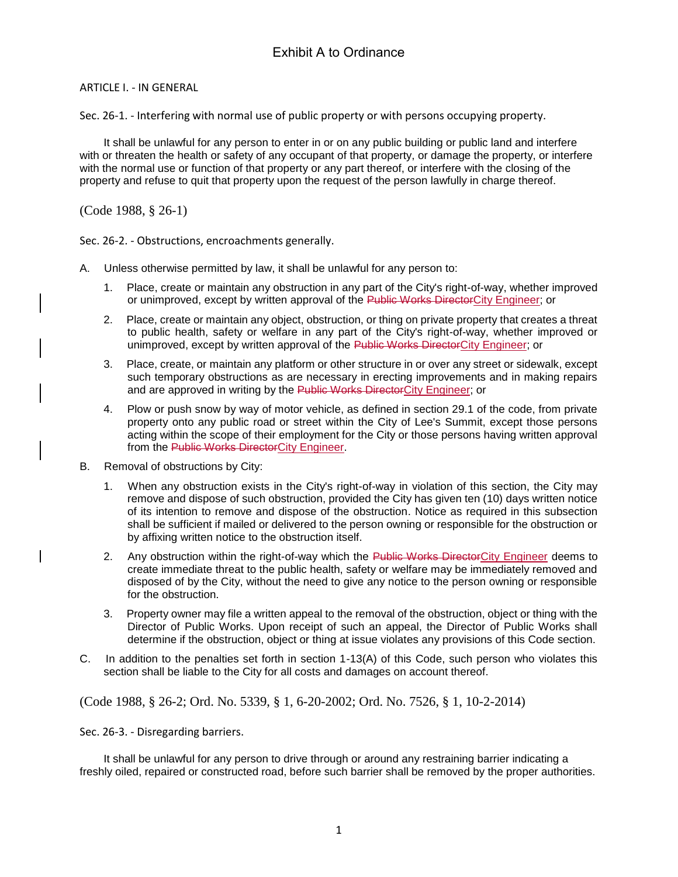ARTICLE I. - IN GENERAL

Sec. 26-1. - Interfering with normal use of public property or with persons occupying property.

It shall be unlawful for any person to enter in or on any public building or public land and interfere with or threaten the health or safety of any occupant of that property, or damage the property, or interfere with the normal use or function of that property or any part thereof, or interfere with the closing of the property and refuse to quit that property upon the request of the person lawfully in charge thereof.

(Code 1988, § 26-1)

Sec. 26-2. - Obstructions, encroachments generally.

- A. Unless otherwise permitted by law, it shall be unlawful for any person to:
	- 1. Place, create or maintain any obstruction in any part of the City's right-of-way, whether improved or unimproved, except by written approval of the Public Works DirectorCity Engineer; or
	- 2. Place, create or maintain any object, obstruction, or thing on private property that creates a threat to public health, safety or welfare in any part of the City's right-of-way, whether improved or unimproved, except by written approval of the Public Works DirectorCity Engineer; or
	- 3. Place, create, or maintain any platform or other structure in or over any street or sidewalk, except such temporary obstructions as are necessary in erecting improvements and in making repairs and are approved in writing by the Public Works DirectorCity Engineer; or
	- 4. Plow or push snow by way of motor vehicle, as defined in section 29.1 of the code, from private property onto any public road or street within the City of Lee's Summit, except those persons acting within the scope of their employment for the City or those persons having written approval from the Public Works DirectorCity Engineer.
- B. Removal of obstructions by City:
	- 1. When any obstruction exists in the City's right-of-way in violation of this section, the City may remove and dispose of such obstruction, provided the City has given ten (10) days written notice of its intention to remove and dispose of the obstruction. Notice as required in this subsection shall be sufficient if mailed or delivered to the person owning or responsible for the obstruction or by affixing written notice to the obstruction itself.
	- 2. Any obstruction within the right-of-way which the Public Works DirectorCity Engineer deems to create immediate threat to the public health, safety or welfare may be immediately removed and disposed of by the City, without the need to give any notice to the person owning or responsible for the obstruction.
	- 3. Property owner may file a written appeal to the removal of the obstruction, object or thing with the Director of Public Works. Upon receipt of such an appeal, the Director of Public Works shall determine if the obstruction, object or thing at issue violates any provisions of this Code section.
- C. In addition to the penalties set forth in section 1-13(A) of this Code, such person who violates this section shall be liable to the City for all costs and damages on account thereof.

(Code 1988, § 26-2; Ord. No. 5339, § 1, 6-20-2002; Ord. No. 7526, § 1, 10-2-2014)

Sec. 26-3. - Disregarding barriers.

It shall be unlawful for any person to drive through or around any restraining barrier indicating a freshly oiled, repaired or constructed road, before such barrier shall be removed by the proper authorities.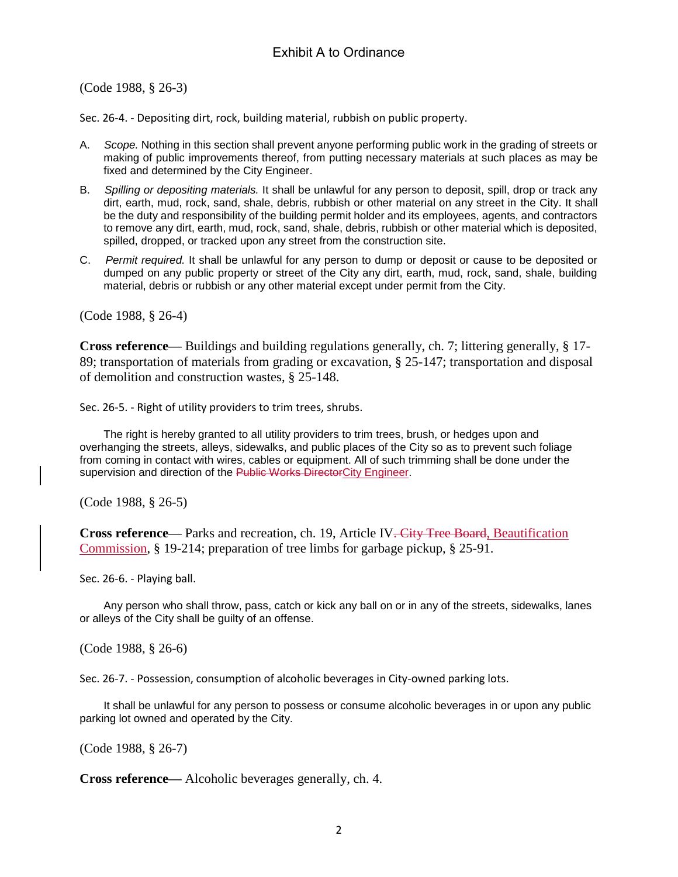(Code 1988, § 26-3)

Sec. 26-4. - Depositing dirt, rock, building material, rubbish on public property.

- A. *Scope.* Nothing in this section shall prevent anyone performing public work in the grading of streets or making of public improvements thereof, from putting necessary materials at such places as may be fixed and determined by the City Engineer.
- B. *Spilling or depositing materials.* It shall be unlawful for any person to deposit, spill, drop or track any dirt, earth, mud, rock, sand, shale, debris, rubbish or other material on any street in the City. It shall be the duty and responsibility of the building permit holder and its employees, agents, and contractors to remove any dirt, earth, mud, rock, sand, shale, debris, rubbish or other material which is deposited, spilled, dropped, or tracked upon any street from the construction site.
- C. *Permit required.* It shall be unlawful for any person to dump or deposit or cause to be deposited or dumped on any public property or street of the City any dirt, earth, mud, rock, sand, shale, building material, debris or rubbish or any other material except under permit from the City.

(Code 1988, § 26-4)

**Cross reference—** Buildings and building regulations generally, ch. 7; littering generally, § 17- 89; transportation of materials from grading or excavation, § 25-147; transportation and disposal of demolition and construction wastes, § 25-148.

Sec. 26-5. - Right of utility providers to trim trees, shrubs.

The right is hereby granted to all utility providers to trim trees, brush, or hedges upon and overhanging the streets, alleys, sidewalks, and public places of the City so as to prevent such foliage from coming in contact with wires, cables or equipment. All of such trimming shall be done under the supervision and direction of the Public Works DirectorCity Engineer.

(Code 1988, § 26-5)

**Cross reference—** Parks and recreation, ch. 19, Article IV. City Tree Board, Beautification Commission, § 19-214; preparation of tree limbs for garbage pickup, § 25-91.

Sec. 26-6. - Playing ball.

Any person who shall throw, pass, catch or kick any ball on or in any of the streets, sidewalks, lanes or alleys of the City shall be guilty of an offense.

(Code 1988, § 26-6)

Sec. 26-7. - Possession, consumption of alcoholic beverages in City-owned parking lots.

It shall be unlawful for any person to possess or consume alcoholic beverages in or upon any public parking lot owned and operated by the City.

(Code 1988, § 26-7)

**Cross reference—** Alcoholic beverages generally, ch. 4.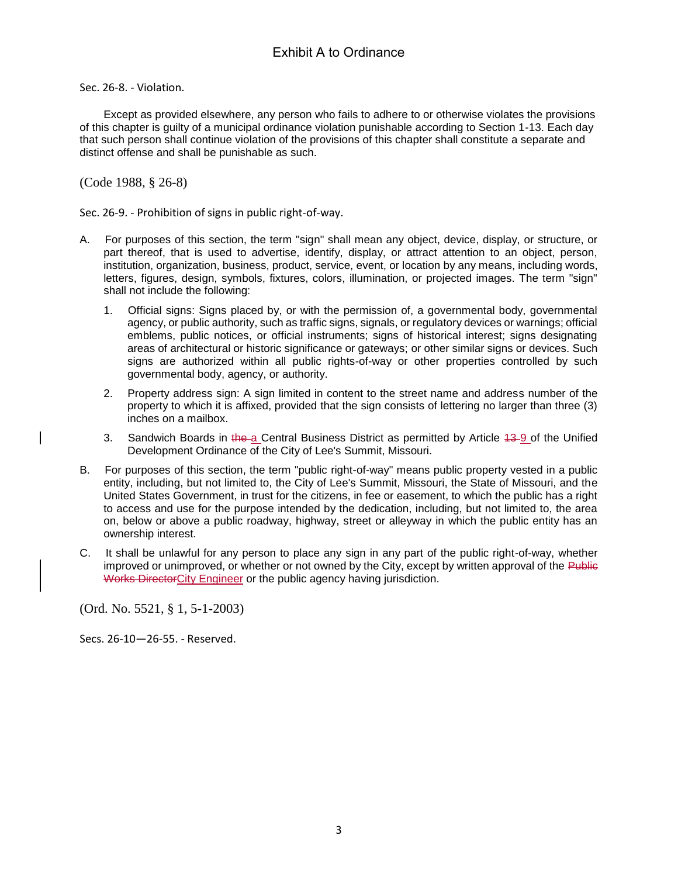Sec. 26-8. - Violation.

Except as provided elsewhere, any person who fails to adhere to or otherwise violates the provisions of this chapter is guilty of a municipal ordinance violation punishable according to Section 1-13. Each day that such person shall continue violation of the provisions of this chapter shall constitute a separate and distinct offense and shall be punishable as such.

(Code 1988, § 26-8)

Sec. 26-9. - Prohibition of signs in public right-of-way.

- A. For purposes of this section, the term "sign" shall mean any object, device, display, or structure, or part thereof, that is used to advertise, identify, display, or attract attention to an object, person, institution, organization, business, product, service, event, or location by any means, including words, letters, figures, design, symbols, fixtures, colors, illumination, or projected images. The term "sign" shall not include the following:
	- 1. Official signs: Signs placed by, or with the permission of, a governmental body, governmental agency, or public authority, such as traffic signs, signals, or regulatory devices or warnings; official emblems, public notices, or official instruments; signs of historical interest; signs designating areas of architectural or historic significance or gateways; or other similar signs or devices. Such signs are authorized within all public rights-of-way or other properties controlled by such governmental body, agency, or authority.
	- 2. Property address sign: A sign limited in content to the street name and address number of the property to which it is affixed, provided that the sign consists of lettering no larger than three (3) inches on a mailbox.
	- 3. Sandwich Boards in the a Central Business District as permitted by Article 43-9 of the Unified Development Ordinance of the City of Lee's Summit, Missouri.
- B. For purposes of this section, the term "public right-of-way" means public property vested in a public entity, including, but not limited to, the City of Lee's Summit, Missouri, the State of Missouri, and the United States Government, in trust for the citizens, in fee or easement, to which the public has a right to access and use for the purpose intended by the dedication, including, but not limited to, the area on, below or above a public roadway, highway, street or alleyway in which the public entity has an ownership interest.
- C. It shall be unlawful for any person to place any sign in any part of the public right-of-way, whether improved or unimproved, or whether or not owned by the City, except by written approval of the Public Works DirectorCity Engineer or the public agency having jurisdiction.

(Ord. No. 5521, § 1, 5-1-2003)

Secs. 26-10—26-55. - Reserved.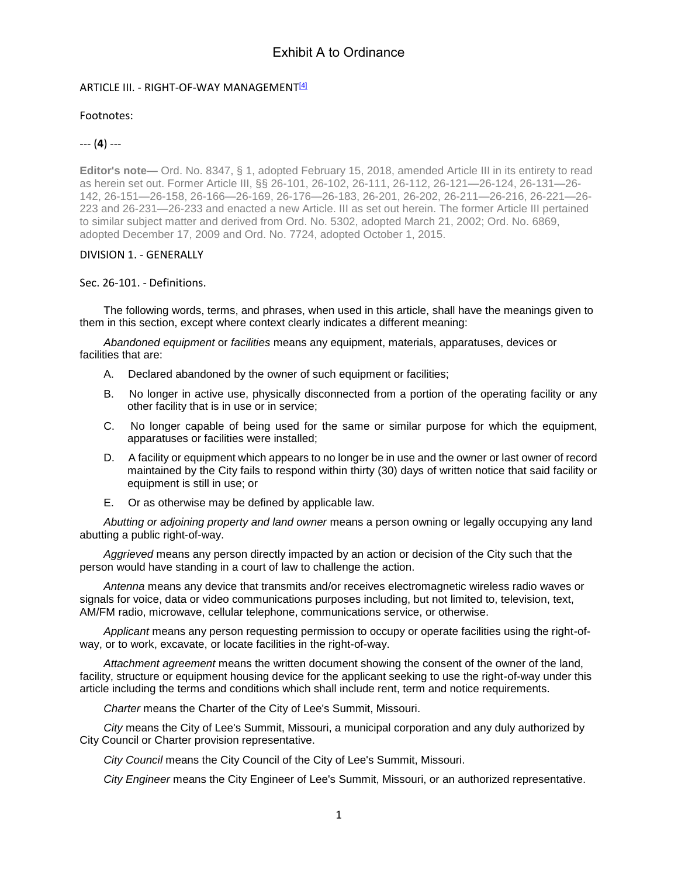#### ARTICLE III. - RIGHT-OF-WAY MANAGEMENT<sup>[4]</sup>

### Footnotes:

### --- (**4**) ---

**Editor's note—** Ord. No. 8347, § 1, adopted February 15, 2018, amended Article III in its entirety to read as herein set out. Former Article III, §§ 26-101, 26-102, 26-111, 26-112, 26-121—26-124, 26-131—26- 142, 26-151—26-158, 26-166—26-169, 26-176—26-183, 26-201, 26-202, 26-211—26-216, 26-221—26- 223 and 26-231—26-233 and enacted a new Article. III as set out herein. The former Article III pertained to similar subject matter and derived from Ord. No. 5302, adopted March 21, 2002; Ord. No. 6869, adopted December 17, 2009 and Ord. No. 7724, adopted October 1, 2015.

#### DIVISION 1. - GENERALLY

### Sec. 26-101. - Definitions.

The following words, terms, and phrases, when used in this article, shall have the meanings given to them in this section, except where context clearly indicates a different meaning:

*Abandoned equipment* or *facilities* means any equipment, materials, apparatuses, devices or facilities that are:

- A. Declared abandoned by the owner of such equipment or facilities;
- B. No longer in active use, physically disconnected from a portion of the operating facility or any other facility that is in use or in service;
- C. No longer capable of being used for the same or similar purpose for which the equipment, apparatuses or facilities were installed;
- D. A facility or equipment which appears to no longer be in use and the owner or last owner of record maintained by the City fails to respond within thirty (30) days of written notice that said facility or equipment is still in use; or
- E. Or as otherwise may be defined by applicable law.

*Abutting or adjoining property and land owner* means a person owning or legally occupying any land abutting a public right-of-way.

*Aggrieved* means any person directly impacted by an action or decision of the City such that the person would have standing in a court of law to challenge the action.

*Antenna* means any device that transmits and/or receives electromagnetic wireless radio waves or signals for voice, data or video communications purposes including, but not limited to, television, text, AM/FM radio, microwave, cellular telephone, communications service, or otherwise.

*Applicant* means any person requesting permission to occupy or operate facilities using the right-ofway, or to work, excavate, or locate facilities in the right-of-way.

*Attachment agreement* means the written document showing the consent of the owner of the land, facility, structure or equipment housing device for the applicant seeking to use the right-of-way under this article including the terms and conditions which shall include rent, term and notice requirements.

*Charter* means the Charter of the City of Lee's Summit, Missouri.

*City* means the City of Lee's Summit, Missouri, a municipal corporation and any duly authorized by City Council or Charter provision representative.

*City Council* means the City Council of the City of Lee's Summit, Missouri.

*City Engineer* means the City Engineer of Lee's Summit, Missouri, or an authorized representative.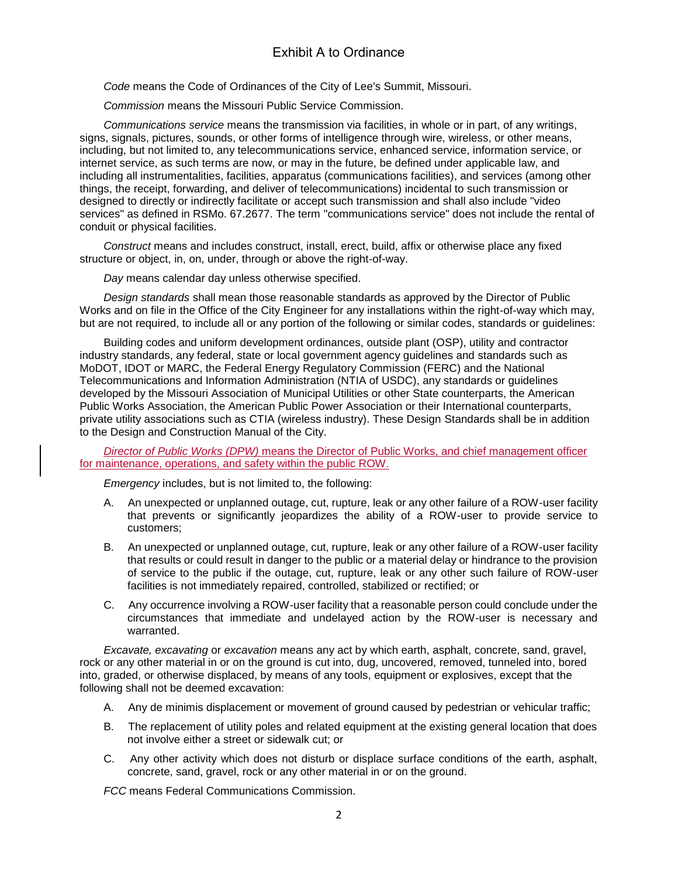*Code* means the Code of Ordinances of the City of Lee's Summit, Missouri.

*Commission* means the Missouri Public Service Commission.

*Communications service* means the transmission via facilities, in whole or in part, of any writings, signs, signals, pictures, sounds, or other forms of intelligence through wire, wireless, or other means, including, but not limited to, any telecommunications service, enhanced service, information service, or internet service, as such terms are now, or may in the future, be defined under applicable law, and including all instrumentalities, facilities, apparatus (communications facilities), and services (among other things, the receipt, forwarding, and deliver of telecommunications) incidental to such transmission or designed to directly or indirectly facilitate or accept such transmission and shall also include "video services" as defined in RSMo. 67.2677. The term "communications service" does not include the rental of conduit or physical facilities.

*Construct* means and includes construct, install, erect, build, affix or otherwise place any fixed structure or object, in, on, under, through or above the right-of-way.

*Day* means calendar day unless otherwise specified.

*Design standards* shall mean those reasonable standards as approved by the Director of Public Works and on file in the Office of the City Engineer for any installations within the right-of-way which may, but are not required, to include all or any portion of the following or similar codes, standards or guidelines:

Building codes and uniform development ordinances, outside plant (OSP), utility and contractor industry standards, any federal, state or local government agency guidelines and standards such as MoDOT, IDOT or MARC, the Federal Energy Regulatory Commission (FERC) and the National Telecommunications and Information Administration (NTIA of USDC), any standards or guidelines developed by the Missouri Association of Municipal Utilities or other State counterparts, the American Public Works Association, the American Public Power Association or their International counterparts, private utility associations such as CTIA (wireless industry). These Design Standards shall be in addition to the Design and Construction Manual of the City.

*Director of Public Works (DPW)* means the Director of Public Works, and chief management officer for maintenance, operations, and safety within the public ROW.

*Emergency* includes, but is not limited to, the following:

- A. An unexpected or unplanned outage, cut, rupture, leak or any other failure of a ROW-user facility that prevents or significantly jeopardizes the ability of a ROW-user to provide service to customers;
- B. An unexpected or unplanned outage, cut, rupture, leak or any other failure of a ROW-user facility that results or could result in danger to the public or a material delay or hindrance to the provision of service to the public if the outage, cut, rupture, leak or any other such failure of ROW-user facilities is not immediately repaired, controlled, stabilized or rectified; or
- C. Any occurrence involving a ROW-user facility that a reasonable person could conclude under the circumstances that immediate and undelayed action by the ROW-user is necessary and warranted.

*Excavate, excavating* or *excavation* means any act by which earth, asphalt, concrete, sand, gravel, rock or any other material in or on the ground is cut into, dug, uncovered, removed, tunneled into, bored into, graded, or otherwise displaced, by means of any tools, equipment or explosives, except that the following shall not be deemed excavation:

- A. Any de minimis displacement or movement of ground caused by pedestrian or vehicular traffic;
- B. The replacement of utility poles and related equipment at the existing general location that does not involve either a street or sidewalk cut; or
- C. Any other activity which does not disturb or displace surface conditions of the earth, asphalt, concrete, sand, gravel, rock or any other material in or on the ground.

*FCC* means Federal Communications Commission.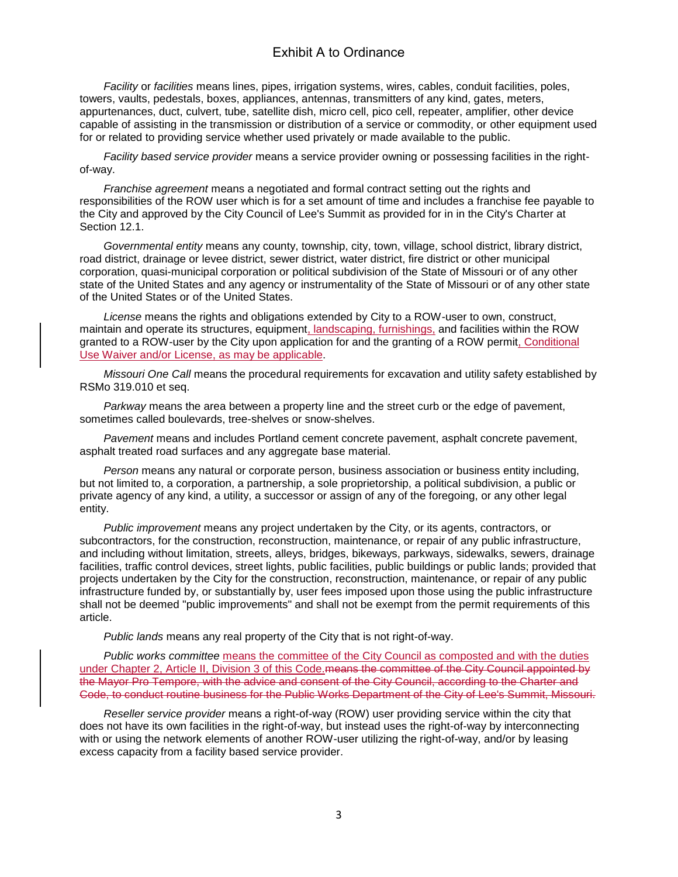*Facility* or *facilities* means lines, pipes, irrigation systems, wires, cables, conduit facilities, poles, towers, vaults, pedestals, boxes, appliances, antennas, transmitters of any kind, gates, meters, appurtenances, duct, culvert, tube, satellite dish, micro cell, pico cell, repeater, amplifier, other device capable of assisting in the transmission or distribution of a service or commodity, or other equipment used for or related to providing service whether used privately or made available to the public.

*Facility based service provider* means a service provider owning or possessing facilities in the rightof-way.

*Franchise agreement* means a negotiated and formal contract setting out the rights and responsibilities of the ROW user which is for a set amount of time and includes a franchise fee payable to the City and approved by the City Council of Lee's Summit as provided for in in the City's Charter at Section 12.1.

*Governmental entity* means any county, township, city, town, village, school district, library district, road district, drainage or levee district, sewer district, water district, fire district or other municipal corporation, quasi-municipal corporation or political subdivision of the State of Missouri or of any other state of the United States and any agency or instrumentality of the State of Missouri or of any other state of the United States or of the United States.

*License* means the rights and obligations extended by City to a ROW-user to own, construct, maintain and operate its structures, equipment, landscaping, furnishings, and facilities within the ROW granted to a ROW-user by the City upon application for and the granting of a ROW permit, Conditional Use Waiver and/or License, as may be applicable.

*Missouri One Call* means the procedural requirements for excavation and utility safety established by RSMo 319.010 et seq.

*Parkway* means the area between a property line and the street curb or the edge of pavement, sometimes called boulevards, tree-shelves or snow-shelves.

*Pavement* means and includes Portland cement concrete pavement, asphalt concrete pavement, asphalt treated road surfaces and any aggregate base material.

*Person* means any natural or corporate person, business association or business entity including, but not limited to, a corporation, a partnership, a sole proprietorship, a political subdivision, a public or private agency of any kind, a utility, a successor or assign of any of the foregoing, or any other legal entity.

*Public improvement* means any project undertaken by the City, or its agents, contractors, or subcontractors, for the construction, reconstruction, maintenance, or repair of any public infrastructure, and including without limitation, streets, alleys, bridges, bikeways, parkways, sidewalks, sewers, drainage facilities, traffic control devices, street lights, public facilities, public buildings or public lands; provided that projects undertaken by the City for the construction, reconstruction, maintenance, or repair of any public infrastructure funded by, or substantially by, user fees imposed upon those using the public infrastructure shall not be deemed "public improvements" and shall not be exempt from the permit requirements of this article.

*Public lands* means any real property of the City that is not right-of-way.

*Public works committee* means the committee of the City Council as composted and with the duties under Chapter 2, Article II, Division 3 of this Code. means the committee of the City Council appointed by the Mayor Pro Tempore, with the advice and consent of the City Council, according to the Charter and Code, to conduct routine business for the Public Works Department of the City of Lee's Summit, Missouri.

*Reseller service provider* means a right-of-way (ROW) user providing service within the city that does not have its own facilities in the right-of-way, but instead uses the right-of-way by interconnecting with or using the network elements of another ROW-user utilizing the right-of-way, and/or by leasing excess capacity from a facility based service provider.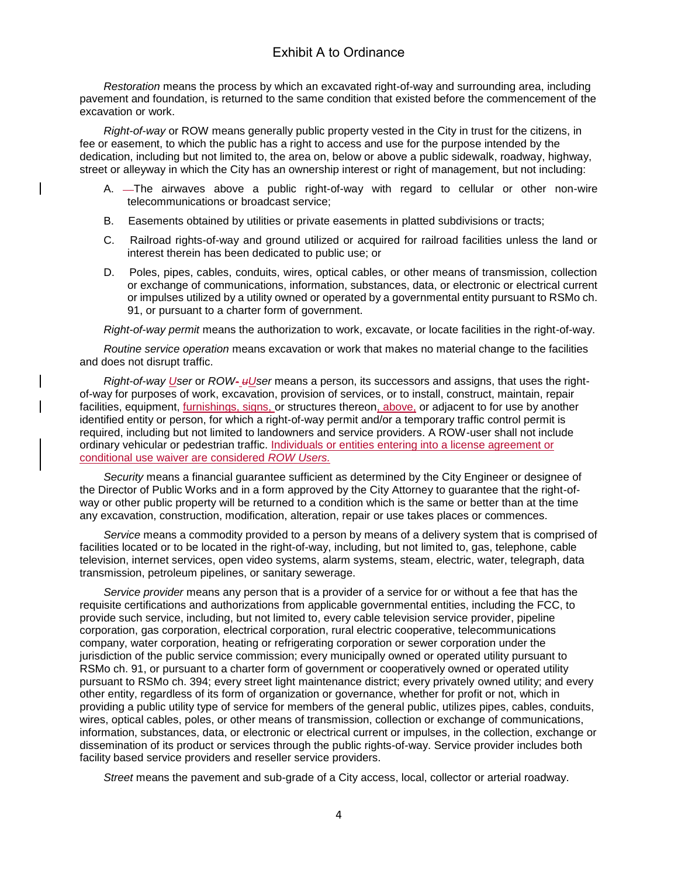*Restoration* means the process by which an excavated right-of-way and surrounding area, including pavement and foundation, is returned to the same condition that existed before the commencement of the excavation or work.

*Right-of-way* or ROW means generally public property vested in the City in trust for the citizens, in fee or easement, to which the public has a right to access and use for the purpose intended by the dedication, including but not limited to, the area on, below or above a public sidewalk, roadway, highway, street or alleyway in which the City has an ownership interest or right of management, but not including:

- A. The airwaves above a public right-of-way with regard to cellular or other non-wire telecommunications or broadcast service;
- B. Easements obtained by utilities or private easements in platted subdivisions or tracts;
- C. Railroad rights-of-way and ground utilized or acquired for railroad facilities unless the land or interest therein has been dedicated to public use; or
- D. Poles, pipes, cables, conduits, wires, optical cables, or other means of transmission, collection or exchange of communications, information, substances, data, or electronic or electrical current or impulses utilized by a utility owned or operated by a governmental entity pursuant to RSMo ch. 91, or pursuant to a charter form of government.

*Right-of-way permit* means the authorization to work, excavate, or locate facilities in the right-of-way.

*Routine service operation* means excavation or work that makes no material change to the facilities and does not disrupt traffic.

*Right-of-way User* or *ROW- uUser* means a person, its successors and assigns, that uses the rightof-way for purposes of work, excavation, provision of services, or to install, construct, maintain, repair facilities, equipment, furnishings, signs, or structures thereon, above, or adjacent to for use by another identified entity or person, for which a right-of-way permit and/or a temporary traffic control permit is required, including but not limited to landowners and service providers. A ROW-user shall not include ordinary vehicular or pedestrian traffic. Individuals or entities entering into a license agreement or conditional use waiver are considered *ROW Users.*

*Security* means a financial guarantee sufficient as determined by the City Engineer or designee of the Director of Public Works and in a form approved by the City Attorney to guarantee that the right-ofway or other public property will be returned to a condition which is the same or better than at the time any excavation, construction, modification, alteration, repair or use takes places or commences.

*Service* means a commodity provided to a person by means of a delivery system that is comprised of facilities located or to be located in the right-of-way, including, but not limited to, gas, telephone, cable television, internet services, open video systems, alarm systems, steam, electric, water, telegraph, data transmission, petroleum pipelines, or sanitary sewerage.

*Service provider* means any person that is a provider of a service for or without a fee that has the requisite certifications and authorizations from applicable governmental entities, including the FCC, to provide such service, including, but not limited to, every cable television service provider, pipeline corporation, gas corporation, electrical corporation, rural electric cooperative, telecommunications company, water corporation, heating or refrigerating corporation or sewer corporation under the jurisdiction of the public service commission; every municipally owned or operated utility pursuant to RSMo ch. 91, or pursuant to a charter form of government or cooperatively owned or operated utility pursuant to RSMo ch. 394; every street light maintenance district; every privately owned utility; and every other entity, regardless of its form of organization or governance, whether for profit or not, which in providing a public utility type of service for members of the general public, utilizes pipes, cables, conduits, wires, optical cables, poles, or other means of transmission, collection or exchange of communications, information, substances, data, or electronic or electrical current or impulses, in the collection, exchange or dissemination of its product or services through the public rights-of-way. Service provider includes both facility based service providers and reseller service providers.

*Street* means the pavement and sub-grade of a City access, local, collector or arterial roadway.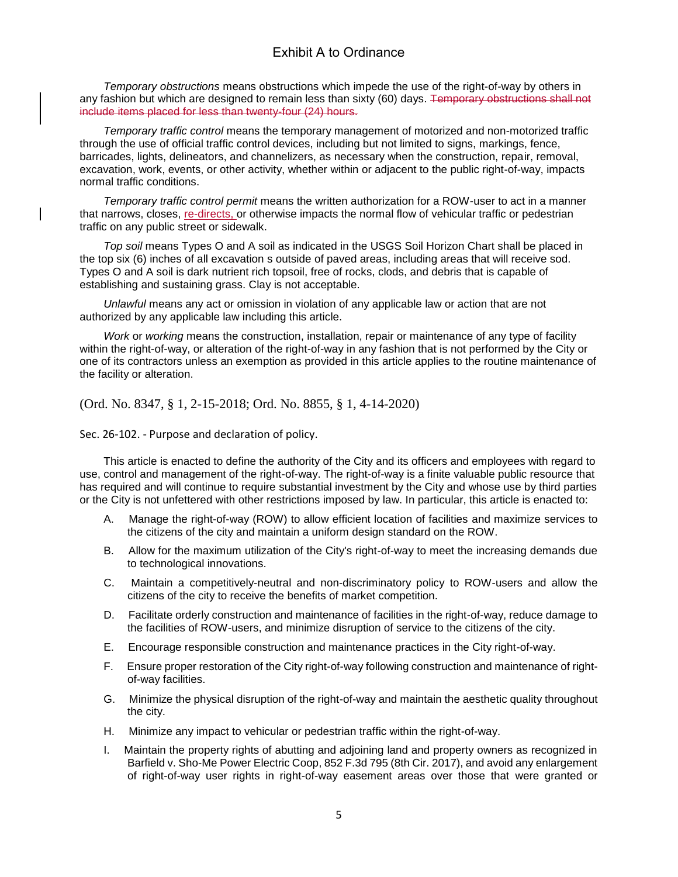*Temporary obstructions* means obstructions which impede the use of the right-of-way by others in any fashion but which are designed to remain less than sixty (60) days. <del>Temporary obstructions shall not</del> include items placed for less than twenty-four (24) hours.

*Temporary traffic control* means the temporary management of motorized and non-motorized traffic through the use of official traffic control devices, including but not limited to signs, markings, fence, barricades, lights, delineators, and channelizers, as necessary when the construction, repair, removal, excavation, work, events, or other activity, whether within or adjacent to the public right-of-way, impacts normal traffic conditions.

*Temporary traffic control permit* means the written authorization for a ROW-user to act in a manner that narrows, closes, re-directs, or otherwise impacts the normal flow of vehicular traffic or pedestrian traffic on any public street or sidewalk.

*Top soil* means Types O and A soil as indicated in the USGS Soil Horizon Chart shall be placed in the top six (6) inches of all excavation s outside of paved areas, including areas that will receive sod. Types O and A soil is dark nutrient rich topsoil, free of rocks, clods, and debris that is capable of establishing and sustaining grass. Clay is not acceptable.

*Unlawful* means any act or omission in violation of any applicable law or action that are not authorized by any applicable law including this article.

*Work* or *working* means the construction, installation, repair or maintenance of any type of facility within the right-of-way, or alteration of the right-of-way in any fashion that is not performed by the City or one of its contractors unless an exemption as provided in this article applies to the routine maintenance of the facility or alteration.

(Ord. No. 8347, § 1, 2-15-2018; Ord. No. 8855, § 1, 4-14-2020)

Sec. 26-102. - Purpose and declaration of policy.

This article is enacted to define the authority of the City and its officers and employees with regard to use, control and management of the right-of-way. The right-of-way is a finite valuable public resource that has required and will continue to require substantial investment by the City and whose use by third parties or the City is not unfettered with other restrictions imposed by law. In particular, this article is enacted to:

- A. Manage the right-of-way (ROW) to allow efficient location of facilities and maximize services to the citizens of the city and maintain a uniform design standard on the ROW.
- B. Allow for the maximum utilization of the City's right-of-way to meet the increasing demands due to technological innovations.
- C. Maintain a competitively-neutral and non-discriminatory policy to ROW-users and allow the citizens of the city to receive the benefits of market competition.
- D. Facilitate orderly construction and maintenance of facilities in the right-of-way, reduce damage to the facilities of ROW-users, and minimize disruption of service to the citizens of the city.
- E. Encourage responsible construction and maintenance practices in the City right-of-way.
- F. Ensure proper restoration of the City right-of-way following construction and maintenance of rightof-way facilities.
- G. Minimize the physical disruption of the right-of-way and maintain the aesthetic quality throughout the city.
- H. Minimize any impact to vehicular or pedestrian traffic within the right-of-way.
- I. Maintain the property rights of abutting and adjoining land and property owners as recognized in Barfield v. Sho-Me Power Electric Coop, 852 F.3d 795 (8th Cir. 2017), and avoid any enlargement of right-of-way user rights in right-of-way easement areas over those that were granted or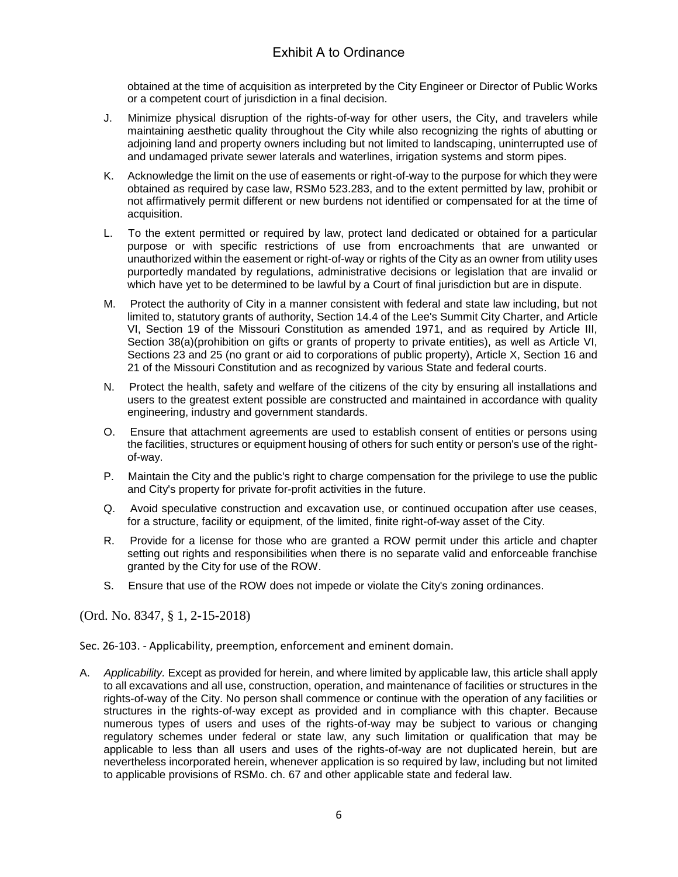obtained at the time of acquisition as interpreted by the City Engineer or Director of Public Works or a competent court of jurisdiction in a final decision.

- J. Minimize physical disruption of the rights-of-way for other users, the City, and travelers while maintaining aesthetic quality throughout the City while also recognizing the rights of abutting or adjoining land and property owners including but not limited to landscaping, uninterrupted use of and undamaged private sewer laterals and waterlines, irrigation systems and storm pipes.
- K. Acknowledge the limit on the use of easements or right-of-way to the purpose for which they were obtained as required by case law, RSMo 523.283, and to the extent permitted by law, prohibit or not affirmatively permit different or new burdens not identified or compensated for at the time of acquisition.
- L. To the extent permitted or required by law, protect land dedicated or obtained for a particular purpose or with specific restrictions of use from encroachments that are unwanted or unauthorized within the easement or right-of-way or rights of the City as an owner from utility uses purportedly mandated by regulations, administrative decisions or legislation that are invalid or which have yet to be determined to be lawful by a Court of final jurisdiction but are in dispute.
- M. Protect the authority of City in a manner consistent with federal and state law including, but not limited to, statutory grants of authority, Section 14.4 of the Lee's Summit City Charter, and Article VI, Section 19 of the Missouri Constitution as amended 1971, and as required by Article III, Section 38(a)(prohibition on gifts or grants of property to private entities), as well as Article VI, Sections 23 and 25 (no grant or aid to corporations of public property), Article X, Section 16 and 21 of the Missouri Constitution and as recognized by various State and federal courts.
- N. Protect the health, safety and welfare of the citizens of the city by ensuring all installations and users to the greatest extent possible are constructed and maintained in accordance with quality engineering, industry and government standards.
- O. Ensure that attachment agreements are used to establish consent of entities or persons using the facilities, structures or equipment housing of others for such entity or person's use of the rightof-way.
- P. Maintain the City and the public's right to charge compensation for the privilege to use the public and City's property for private for-profit activities in the future.
- Q. Avoid speculative construction and excavation use, or continued occupation after use ceases, for a structure, facility or equipment, of the limited, finite right-of-way asset of the City.
- R. Provide for a license for those who are granted a ROW permit under this article and chapter setting out rights and responsibilities when there is no separate valid and enforceable franchise granted by the City for use of the ROW.
- S. Ensure that use of the ROW does not impede or violate the City's zoning ordinances.

(Ord. No. 8347, § 1, 2-15-2018)

Sec. 26-103. - Applicability, preemption, enforcement and eminent domain.

A. *Applicability.* Except as provided for herein, and where limited by applicable law, this article shall apply to all excavations and all use, construction, operation, and maintenance of facilities or structures in the rights-of-way of the City. No person shall commence or continue with the operation of any facilities or structures in the rights-of-way except as provided and in compliance with this chapter. Because numerous types of users and uses of the rights-of-way may be subject to various or changing regulatory schemes under federal or state law, any such limitation or qualification that may be applicable to less than all users and uses of the rights-of-way are not duplicated herein, but are nevertheless incorporated herein, whenever application is so required by law, including but not limited to applicable provisions of RSMo. ch. 67 and other applicable state and federal law.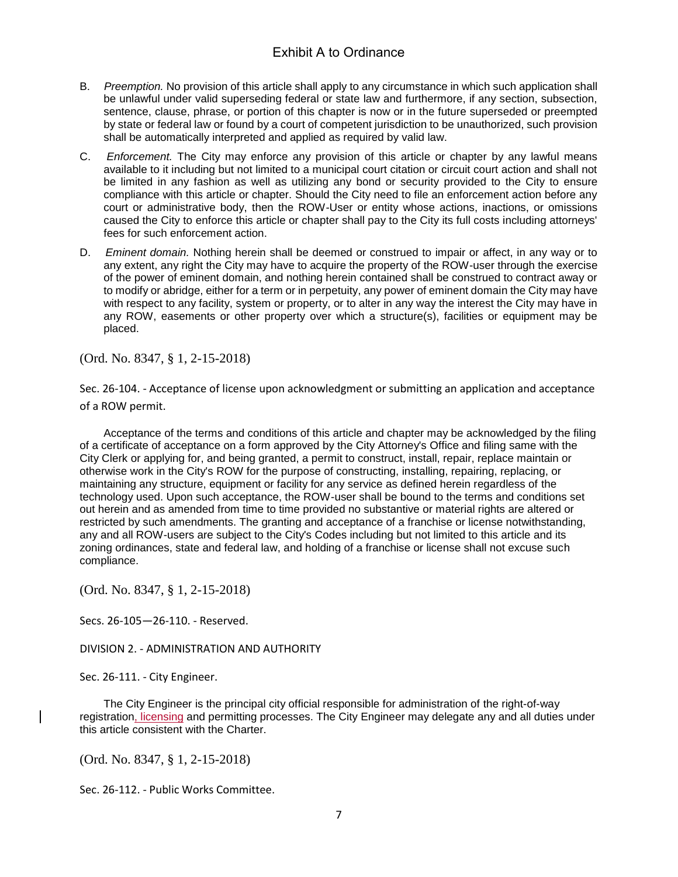- B. *Preemption.* No provision of this article shall apply to any circumstance in which such application shall be unlawful under valid superseding federal or state law and furthermore, if any section, subsection, sentence, clause, phrase, or portion of this chapter is now or in the future superseded or preempted by state or federal law or found by a court of competent jurisdiction to be unauthorized, such provision shall be automatically interpreted and applied as required by valid law.
- C. *Enforcement.* The City may enforce any provision of this article or chapter by any lawful means available to it including but not limited to a municipal court citation or circuit court action and shall not be limited in any fashion as well as utilizing any bond or security provided to the City to ensure compliance with this article or chapter. Should the City need to file an enforcement action before any court or administrative body, then the ROW-User or entity whose actions, inactions, or omissions caused the City to enforce this article or chapter shall pay to the City its full costs including attorneys' fees for such enforcement action.
- D. *Eminent domain.* Nothing herein shall be deemed or construed to impair or affect, in any way or to any extent, any right the City may have to acquire the property of the ROW-user through the exercise of the power of eminent domain, and nothing herein contained shall be construed to contract away or to modify or abridge, either for a term or in perpetuity, any power of eminent domain the City may have with respect to any facility, system or property, or to alter in any way the interest the City may have in any ROW, easements or other property over which a structure(s), facilities or equipment may be placed.

(Ord. No. 8347, § 1, 2-15-2018)

Sec. 26-104. - Acceptance of license upon acknowledgment or submitting an application and acceptance of a ROW permit.

Acceptance of the terms and conditions of this article and chapter may be acknowledged by the filing of a certificate of acceptance on a form approved by the City Attorney's Office and filing same with the City Clerk or applying for, and being granted, a permit to construct, install, repair, replace maintain or otherwise work in the City's ROW for the purpose of constructing, installing, repairing, replacing, or maintaining any structure, equipment or facility for any service as defined herein regardless of the technology used. Upon such acceptance, the ROW-user shall be bound to the terms and conditions set out herein and as amended from time to time provided no substantive or material rights are altered or restricted by such amendments. The granting and acceptance of a franchise or license notwithstanding, any and all ROW-users are subject to the City's Codes including but not limited to this article and its zoning ordinances, state and federal law, and holding of a franchise or license shall not excuse such compliance.

(Ord. No. 8347, § 1, 2-15-2018)

Secs. 26-105—26-110. - Reserved.

DIVISION 2. - ADMINISTRATION AND AUTHORITY

Sec. 26-111. - City Engineer.

The City Engineer is the principal city official responsible for administration of the right-of-way registration, licensing and permitting processes. The City Engineer may delegate any and all duties under this article consistent with the Charter.

(Ord. No. 8347, § 1, 2-15-2018)

Sec. 26-112. - Public Works Committee.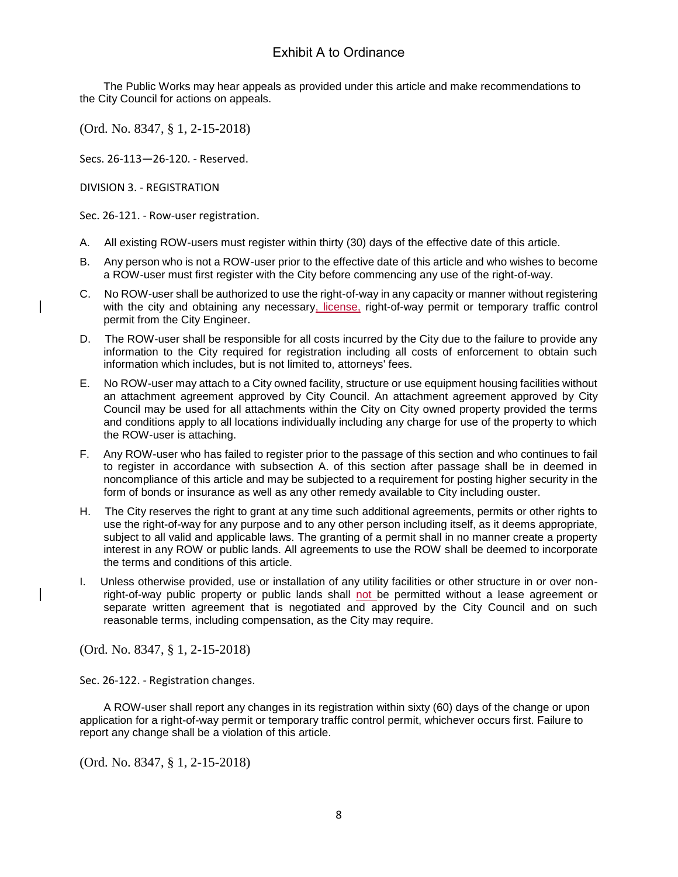The Public Works may hear appeals as provided under this article and make recommendations to the City Council for actions on appeals.

(Ord. No. 8347, § 1, 2-15-2018)

Secs. 26-113—26-120. - Reserved.

DIVISION 3. - REGISTRATION

Sec. 26-121. - Row-user registration.

- A. All existing ROW-users must register within thirty (30) days of the effective date of this article.
- B. Any person who is not a ROW-user prior to the effective date of this article and who wishes to become a ROW-user must first register with the City before commencing any use of the right-of-way.
- C. No ROW-user shall be authorized to use the right-of-way in any capacity or manner without registering with the city and obtaining any necessary, license, right-of-way permit or temporary traffic control permit from the City Engineer.
- D. The ROW-user shall be responsible for all costs incurred by the City due to the failure to provide any information to the City required for registration including all costs of enforcement to obtain such information which includes, but is not limited to, attorneys' fees.
- E. No ROW-user may attach to a City owned facility, structure or use equipment housing facilities without an attachment agreement approved by City Council. An attachment agreement approved by City Council may be used for all attachments within the City on City owned property provided the terms and conditions apply to all locations individually including any charge for use of the property to which the ROW-user is attaching.
- F. Any ROW-user who has failed to register prior to the passage of this section and who continues to fail to register in accordance with subsection A. of this section after passage shall be in deemed in noncompliance of this article and may be subjected to a requirement for posting higher security in the form of bonds or insurance as well as any other remedy available to City including ouster.
- H. The City reserves the right to grant at any time such additional agreements, permits or other rights to use the right-of-way for any purpose and to any other person including itself, as it deems appropriate, subject to all valid and applicable laws. The granting of a permit shall in no manner create a property interest in any ROW or public lands. All agreements to use the ROW shall be deemed to incorporate the terms and conditions of this article.
- Unless otherwise provided, use or installation of any utility facilities or other structure in or over nonright-of-way public property or public lands shall not be permitted without a lease agreement or separate written agreement that is negotiated and approved by the City Council and on such reasonable terms, including compensation, as the City may require.

(Ord. No. 8347, § 1, 2-15-2018)

Sec. 26-122. - Registration changes.

A ROW-user shall report any changes in its registration within sixty (60) days of the change or upon application for a right-of-way permit or temporary traffic control permit, whichever occurs first. Failure to report any change shall be a violation of this article.

(Ord. No. 8347, § 1, 2-15-2018)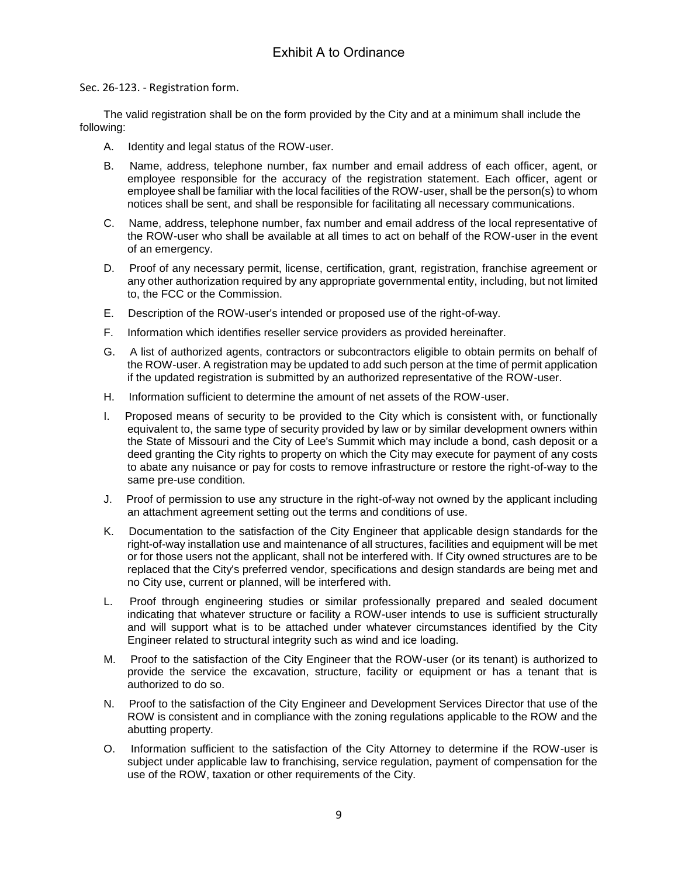Sec. 26-123. - Registration form.

The valid registration shall be on the form provided by the City and at a minimum shall include the following:

- A. Identity and legal status of the ROW-user.
- B. Name, address, telephone number, fax number and email address of each officer, agent, or employee responsible for the accuracy of the registration statement. Each officer, agent or employee shall be familiar with the local facilities of the ROW-user, shall be the person(s) to whom notices shall be sent, and shall be responsible for facilitating all necessary communications.
- C. Name, address, telephone number, fax number and email address of the local representative of the ROW-user who shall be available at all times to act on behalf of the ROW-user in the event of an emergency.
- D. Proof of any necessary permit, license, certification, grant, registration, franchise agreement or any other authorization required by any appropriate governmental entity, including, but not limited to, the FCC or the Commission.
- E. Description of the ROW-user's intended or proposed use of the right-of-way.
- F. Information which identifies reseller service providers as provided hereinafter.
- G. A list of authorized agents, contractors or subcontractors eligible to obtain permits on behalf of the ROW-user. A registration may be updated to add such person at the time of permit application if the updated registration is submitted by an authorized representative of the ROW-user.
- H. Information sufficient to determine the amount of net assets of the ROW-user.
- I. Proposed means of security to be provided to the City which is consistent with, or functionally equivalent to, the same type of security provided by law or by similar development owners within the State of Missouri and the City of Lee's Summit which may include a bond, cash deposit or a deed granting the City rights to property on which the City may execute for payment of any costs to abate any nuisance or pay for costs to remove infrastructure or restore the right-of-way to the same pre-use condition.
- J. Proof of permission to use any structure in the right-of-way not owned by the applicant including an attachment agreement setting out the terms and conditions of use.
- K. Documentation to the satisfaction of the City Engineer that applicable design standards for the right-of-way installation use and maintenance of all structures, facilities and equipment will be met or for those users not the applicant, shall not be interfered with. If City owned structures are to be replaced that the City's preferred vendor, specifications and design standards are being met and no City use, current or planned, will be interfered with.
- L. Proof through engineering studies or similar professionally prepared and sealed document indicating that whatever structure or facility a ROW-user intends to use is sufficient structurally and will support what is to be attached under whatever circumstances identified by the City Engineer related to structural integrity such as wind and ice loading.
- M. Proof to the satisfaction of the City Engineer that the ROW-user (or its tenant) is authorized to provide the service the excavation, structure, facility or equipment or has a tenant that is authorized to do so.
- N. Proof to the satisfaction of the City Engineer and Development Services Director that use of the ROW is consistent and in compliance with the zoning regulations applicable to the ROW and the abutting property.
- O. Information sufficient to the satisfaction of the City Attorney to determine if the ROW-user is subject under applicable law to franchising, service regulation, payment of compensation for the use of the ROW, taxation or other requirements of the City.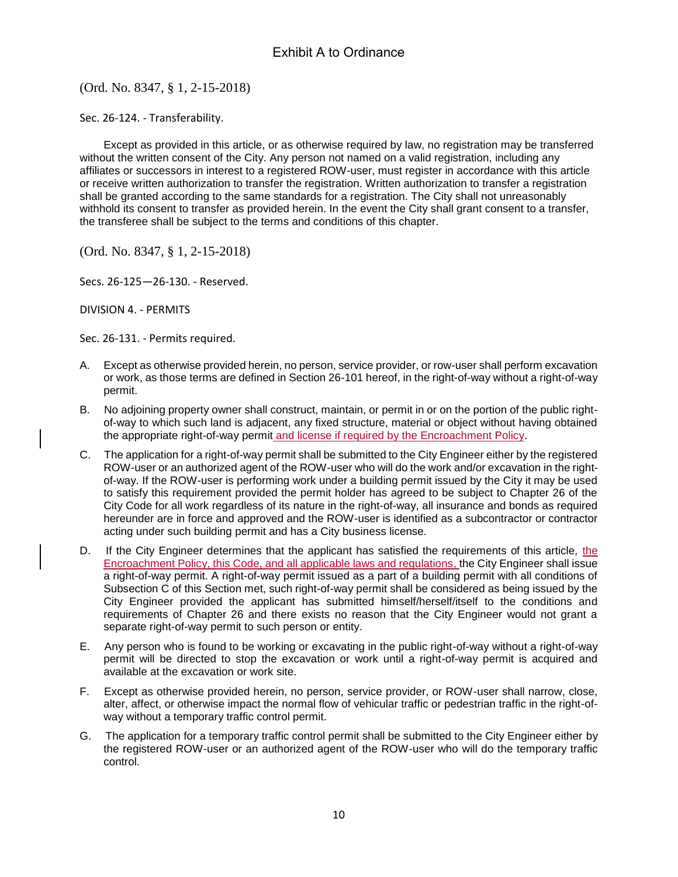(Ord. No. 8347, § 1, 2-15-2018)

Sec. 26-124. - Transferability.

Except as provided in this article, or as otherwise required by law, no registration may be transferred without the written consent of the City. Any person not named on a valid registration, including any affiliates or successors in interest to a registered ROW-user, must register in accordance with this article or receive written authorization to transfer the registration. Written authorization to transfer a registration shall be granted according to the same standards for a registration. The City shall not unreasonably withhold its consent to transfer as provided herein. In the event the City shall grant consent to a transfer, the transferee shall be subject to the terms and conditions of this chapter.

(Ord. No. 8347, § 1, 2-15-2018)

Secs. 26-125—26-130. - Reserved.

DIVISION 4. - PERMITS

Sec. 26-131. - Permits required.

- A. Except as otherwise provided herein, no person, service provider, or row-user shall perform excavation or work, as those terms are defined in Section 26-101 hereof, in the right-of-way without a right-of-way permit.
- B. No adjoining property owner shall construct, maintain, or permit in or on the portion of the public rightof-way to which such land is adjacent, any fixed structure, material or object without having obtained the appropriate right-of-way permit and license if required by the Encroachment Policy.
- C. The application for a right-of-way permit shall be submitted to the City Engineer either by the registered ROW-user or an authorized agent of the ROW-user who will do the work and/or excavation in the rightof-way. If the ROW-user is performing work under a building permit issued by the City it may be used to satisfy this requirement provided the permit holder has agreed to be subject to Chapter 26 of the City Code for all work regardless of its nature in the right-of-way, all insurance and bonds as required hereunder are in force and approved and the ROW-user is identified as a subcontractor or contractor acting under such building permit and has a City business license.
- D. If the City Engineer determines that the applicant has satisfied the requirements of this article, the Encroachment Policy, this Code, and all applicable laws and regulations, the City Engineer shall issue a right-of-way permit. A right-of-way permit issued as a part of a building permit with all conditions of Subsection C of this Section met, such right-of-way permit shall be considered as being issued by the City Engineer provided the applicant has submitted himself/herself/itself to the conditions and requirements of Chapter 26 and there exists no reason that the City Engineer would not grant a separate right-of-way permit to such person or entity.
- E. Any person who is found to be working or excavating in the public right-of-way without a right-of-way permit will be directed to stop the excavation or work until a right-of-way permit is acquired and available at the excavation or work site.
- F. Except as otherwise provided herein, no person, service provider, or ROW-user shall narrow, close, alter, affect, or otherwise impact the normal flow of vehicular traffic or pedestrian traffic in the right-ofway without a temporary traffic control permit.
- G. The application for a temporary traffic control permit shall be submitted to the City Engineer either by the registered ROW-user or an authorized agent of the ROW-user who will do the temporary traffic control.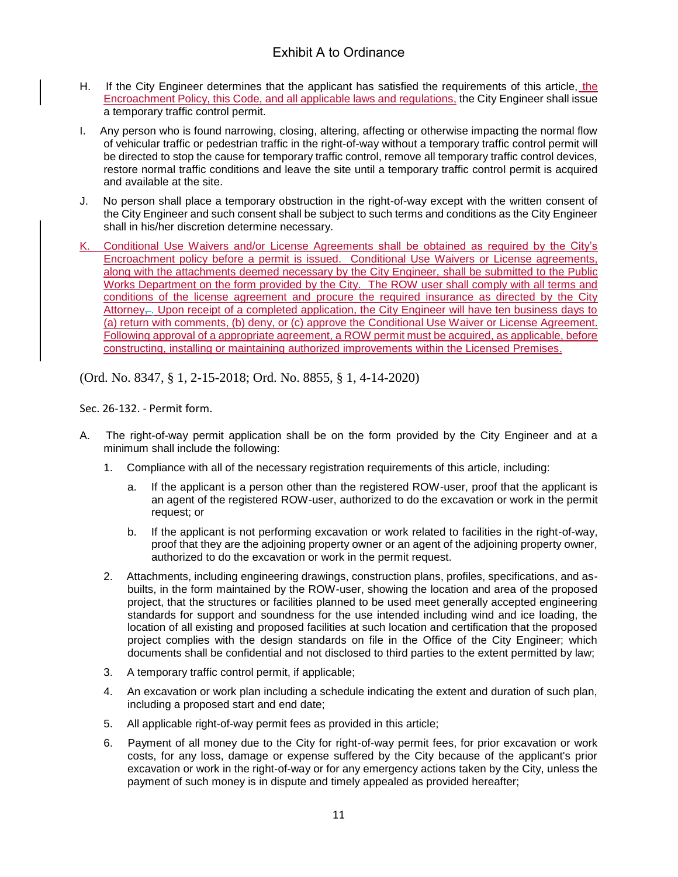- H. If the City Engineer determines that the applicant has satisfied the requirements of this article, the Encroachment Policy, this Code, and all applicable laws and regulations, the City Engineer shall issue a temporary traffic control permit.
- I. Any person who is found narrowing, closing, altering, affecting or otherwise impacting the normal flow of vehicular traffic or pedestrian traffic in the right-of-way without a temporary traffic control permit will be directed to stop the cause for temporary traffic control, remove all temporary traffic control devices, restore normal traffic conditions and leave the site until a temporary traffic control permit is acquired and available at the site.
- J. No person shall place a temporary obstruction in the right-of-way except with the written consent of the City Engineer and such consent shall be subject to such terms and conditions as the City Engineer shall in his/her discretion determine necessary.
- K. Conditional Use Waivers and/or License Agreements shall be obtained as required by the City's Encroachment policy before a permit is issued. Conditional Use Waivers or License agreements, along with the attachments deemed necessary by the City Engineer, shall be submitted to the Public Works Department on the form provided by the City. The ROW user shall comply with all terms and conditions of the license agreement and procure the required insurance as directed by the City Attorney<sub> $\leftarrow$ </sub>. Upon receipt of a completed application, the City Engineer will have ten business days to (a) return with comments, (b) deny, or (c) approve the Conditional Use Waiver or License Agreement. Following approval of a appropriate agreement, a ROW permit must be acquired, as applicable, before constructing, installing or maintaining authorized improvements within the Licensed Premises.

(Ord. No. 8347, § 1, 2-15-2018; Ord. No. 8855, § 1, 4-14-2020)

Sec. 26-132. - Permit form.

- A. The right-of-way permit application shall be on the form provided by the City Engineer and at a minimum shall include the following:
	- 1. Compliance with all of the necessary registration requirements of this article, including:
		- a. If the applicant is a person other than the registered ROW-user, proof that the applicant is an agent of the registered ROW-user, authorized to do the excavation or work in the permit request; or
		- b. If the applicant is not performing excavation or work related to facilities in the right-of-way, proof that they are the adjoining property owner or an agent of the adjoining property owner, authorized to do the excavation or work in the permit request.
	- 2. Attachments, including engineering drawings, construction plans, profiles, specifications, and asbuilts, in the form maintained by the ROW-user, showing the location and area of the proposed project, that the structures or facilities planned to be used meet generally accepted engineering standards for support and soundness for the use intended including wind and ice loading, the location of all existing and proposed facilities at such location and certification that the proposed project complies with the design standards on file in the Office of the City Engineer; which documents shall be confidential and not disclosed to third parties to the extent permitted by law;
	- 3. A temporary traffic control permit, if applicable;
	- 4. An excavation or work plan including a schedule indicating the extent and duration of such plan, including a proposed start and end date;
	- 5. All applicable right-of-way permit fees as provided in this article;
	- 6. Payment of all money due to the City for right-of-way permit fees, for prior excavation or work costs, for any loss, damage or expense suffered by the City because of the applicant's prior excavation or work in the right-of-way or for any emergency actions taken by the City, unless the payment of such money is in dispute and timely appealed as provided hereafter;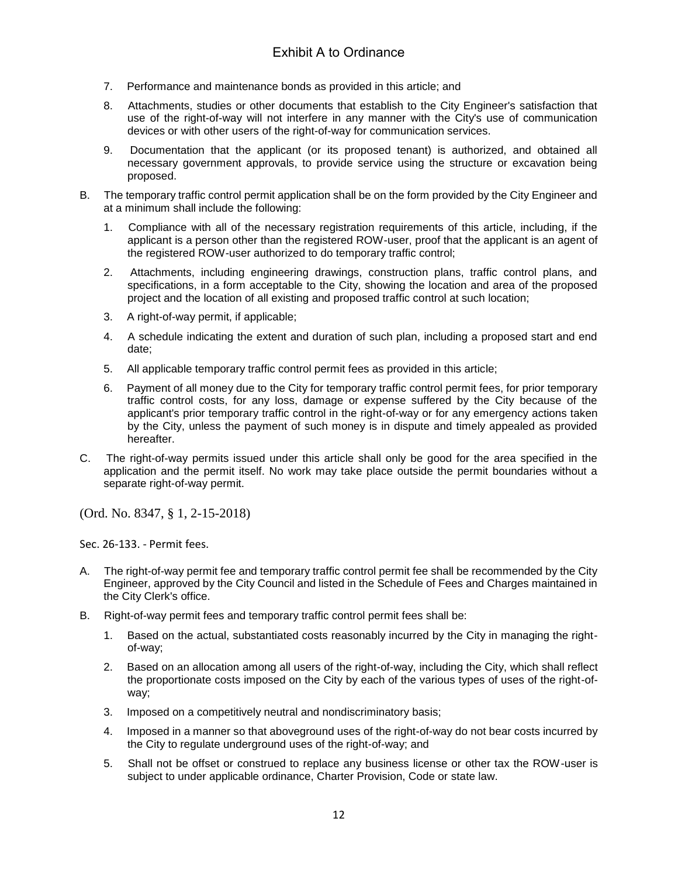- 7. Performance and maintenance bonds as provided in this article; and
- 8. Attachments, studies or other documents that establish to the City Engineer's satisfaction that use of the right-of-way will not interfere in any manner with the City's use of communication devices or with other users of the right-of-way for communication services.
- 9. Documentation that the applicant (or its proposed tenant) is authorized, and obtained all necessary government approvals, to provide service using the structure or excavation being proposed.
- B. The temporary traffic control permit application shall be on the form provided by the City Engineer and at a minimum shall include the following:
	- 1. Compliance with all of the necessary registration requirements of this article, including, if the applicant is a person other than the registered ROW-user, proof that the applicant is an agent of the registered ROW-user authorized to do temporary traffic control;
	- 2. Attachments, including engineering drawings, construction plans, traffic control plans, and specifications, in a form acceptable to the City, showing the location and area of the proposed project and the location of all existing and proposed traffic control at such location;
	- 3. A right-of-way permit, if applicable;
	- 4. A schedule indicating the extent and duration of such plan, including a proposed start and end date;
	- 5. All applicable temporary traffic control permit fees as provided in this article;
	- 6. Payment of all money due to the City for temporary traffic control permit fees, for prior temporary traffic control costs, for any loss, damage or expense suffered by the City because of the applicant's prior temporary traffic control in the right-of-way or for any emergency actions taken by the City, unless the payment of such money is in dispute and timely appealed as provided hereafter.
- C. The right-of-way permits issued under this article shall only be good for the area specified in the application and the permit itself. No work may take place outside the permit boundaries without a separate right-of-way permit.

(Ord. No. 8347, § 1, 2-15-2018)

Sec. 26-133. - Permit fees.

- A. The right-of-way permit fee and temporary traffic control permit fee shall be recommended by the City Engineer, approved by the City Council and listed in the Schedule of Fees and Charges maintained in the City Clerk's office.
- B. Right-of-way permit fees and temporary traffic control permit fees shall be:
	- 1. Based on the actual, substantiated costs reasonably incurred by the City in managing the rightof-way;
	- 2. Based on an allocation among all users of the right-of-way, including the City, which shall reflect the proportionate costs imposed on the City by each of the various types of uses of the right-ofway;
	- 3. Imposed on a competitively neutral and nondiscriminatory basis;
	- 4. Imposed in a manner so that aboveground uses of the right-of-way do not bear costs incurred by the City to regulate underground uses of the right-of-way; and
	- 5. Shall not be offset or construed to replace any business license or other tax the ROW-user is subject to under applicable ordinance, Charter Provision, Code or state law.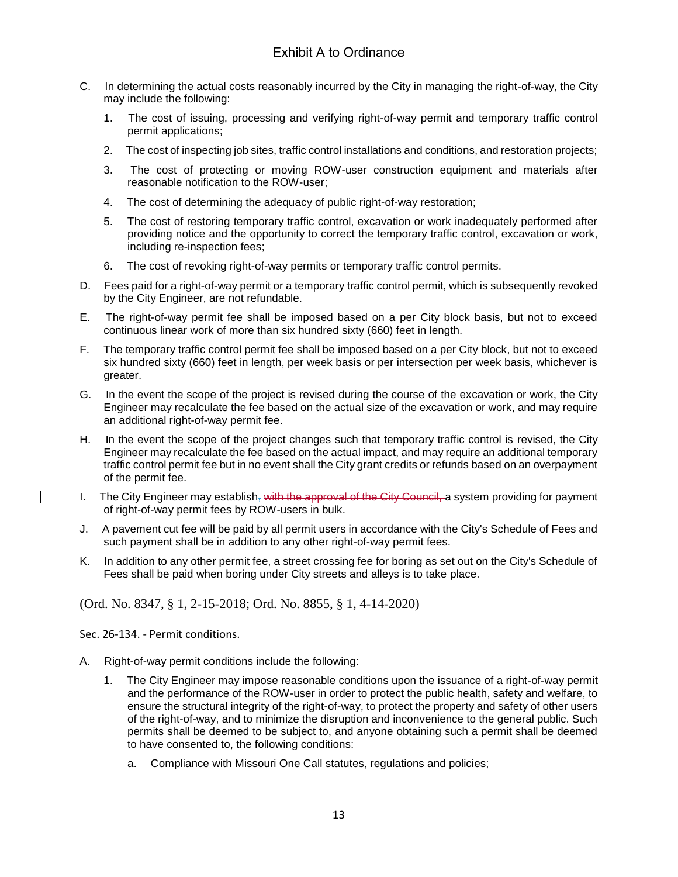- C. In determining the actual costs reasonably incurred by the City in managing the right-of-way, the City may include the following:
	- 1. The cost of issuing, processing and verifying right-of-way permit and temporary traffic control permit applications;
	- 2. The cost of inspecting job sites, traffic control installations and conditions, and restoration projects;
	- 3. The cost of protecting or moving ROW-user construction equipment and materials after reasonable notification to the ROW-user;
	- 4. The cost of determining the adequacy of public right-of-way restoration;
	- 5. The cost of restoring temporary traffic control, excavation or work inadequately performed after providing notice and the opportunity to correct the temporary traffic control, excavation or work, including re-inspection fees;
	- 6. The cost of revoking right-of-way permits or temporary traffic control permits.
- D. Fees paid for a right-of-way permit or a temporary traffic control permit, which is subsequently revoked by the City Engineer, are not refundable.
- E. The right-of-way permit fee shall be imposed based on a per City block basis, but not to exceed continuous linear work of more than six hundred sixty (660) feet in length.
- F. The temporary traffic control permit fee shall be imposed based on a per City block, but not to exceed six hundred sixty (660) feet in length, per week basis or per intersection per week basis, whichever is greater.
- G. In the event the scope of the project is revised during the course of the excavation or work, the City Engineer may recalculate the fee based on the actual size of the excavation or work, and may require an additional right-of-way permit fee.
- H. In the event the scope of the project changes such that temporary traffic control is revised, the City Engineer may recalculate the fee based on the actual impact, and may require an additional temporary traffic control permit fee but in no event shall the City grant credits or refunds based on an overpayment of the permit fee.
- I. The City Engineer may establish, with the approval of the City Council, a system providing for payment of right-of-way permit fees by ROW-users in bulk.
- J. A pavement cut fee will be paid by all permit users in accordance with the City's Schedule of Fees and such payment shall be in addition to any other right-of-way permit fees.
- K. In addition to any other permit fee, a street crossing fee for boring as set out on the City's Schedule of Fees shall be paid when boring under City streets and alleys is to take place.

(Ord. No. 8347, § 1, 2-15-2018; Ord. No. 8855, § 1, 4-14-2020)

Sec. 26-134. - Permit conditions.

- A. Right-of-way permit conditions include the following:
	- 1. The City Engineer may impose reasonable conditions upon the issuance of a right-of-way permit and the performance of the ROW-user in order to protect the public health, safety and welfare, to ensure the structural integrity of the right-of-way, to protect the property and safety of other users of the right-of-way, and to minimize the disruption and inconvenience to the general public. Such permits shall be deemed to be subject to, and anyone obtaining such a permit shall be deemed to have consented to, the following conditions:
		- a. Compliance with Missouri One Call statutes, regulations and policies;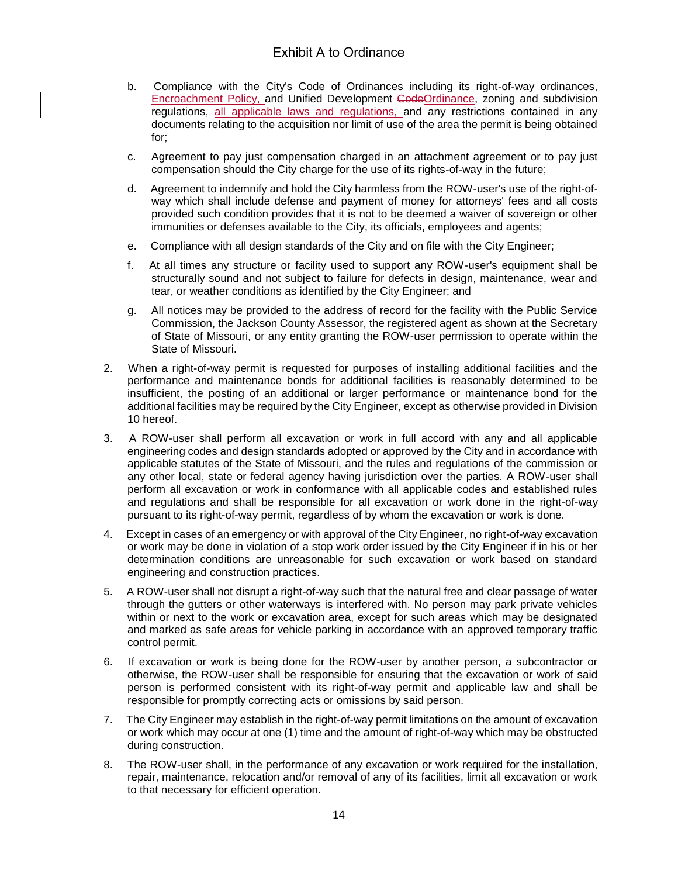- b. Compliance with the City's Code of Ordinances including its right-of-way ordinances, Encroachment Policy, and Unified Development CodeOrdinance, zoning and subdivision regulations, all applicable laws and regulations, and any restrictions contained in any documents relating to the acquisition nor limit of use of the area the permit is being obtained for;
- c. Agreement to pay just compensation charged in an attachment agreement or to pay just compensation should the City charge for the use of its rights-of-way in the future;
- d. Agreement to indemnify and hold the City harmless from the ROW-user's use of the right-ofway which shall include defense and payment of money for attorneys' fees and all costs provided such condition provides that it is not to be deemed a waiver of sovereign or other immunities or defenses available to the City, its officials, employees and agents;
- e. Compliance with all design standards of the City and on file with the City Engineer;
- f. At all times any structure or facility used to support any ROW-user's equipment shall be structurally sound and not subject to failure for defects in design, maintenance, wear and tear, or weather conditions as identified by the City Engineer; and
- g. All notices may be provided to the address of record for the facility with the Public Service Commission, the Jackson County Assessor, the registered agent as shown at the Secretary of State of Missouri, or any entity granting the ROW-user permission to operate within the State of Missouri.
- 2. When a right-of-way permit is requested for purposes of installing additional facilities and the performance and maintenance bonds for additional facilities is reasonably determined to be insufficient, the posting of an additional or larger performance or maintenance bond for the additional facilities may be required by the City Engineer, except as otherwise provided in Division 10 hereof.
- 3. A ROW-user shall perform all excavation or work in full accord with any and all applicable engineering codes and design standards adopted or approved by the City and in accordance with applicable statutes of the State of Missouri, and the rules and regulations of the commission or any other local, state or federal agency having jurisdiction over the parties. A ROW-user shall perform all excavation or work in conformance with all applicable codes and established rules and regulations and shall be responsible for all excavation or work done in the right-of-way pursuant to its right-of-way permit, regardless of by whom the excavation or work is done.
- 4. Except in cases of an emergency or with approval of the City Engineer, no right-of-way excavation or work may be done in violation of a stop work order issued by the City Engineer if in his or her determination conditions are unreasonable for such excavation or work based on standard engineering and construction practices.
- 5. A ROW-user shall not disrupt a right-of-way such that the natural free and clear passage of water through the gutters or other waterways is interfered with. No person may park private vehicles within or next to the work or excavation area, except for such areas which may be designated and marked as safe areas for vehicle parking in accordance with an approved temporary traffic control permit.
- 6. If excavation or work is being done for the ROW-user by another person, a subcontractor or otherwise, the ROW-user shall be responsible for ensuring that the excavation or work of said person is performed consistent with its right-of-way permit and applicable law and shall be responsible for promptly correcting acts or omissions by said person.
- 7. The City Engineer may establish in the right-of-way permit limitations on the amount of excavation or work which may occur at one (1) time and the amount of right-of-way which may be obstructed during construction.
- 8. The ROW-user shall, in the performance of any excavation or work required for the installation, repair, maintenance, relocation and/or removal of any of its facilities, limit all excavation or work to that necessary for efficient operation.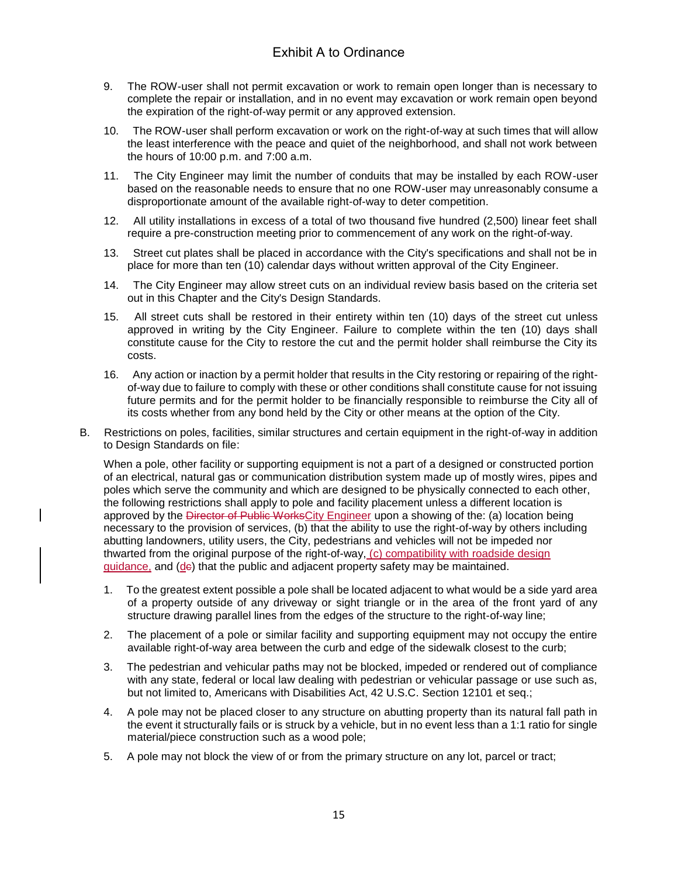- 9. The ROW-user shall not permit excavation or work to remain open longer than is necessary to complete the repair or installation, and in no event may excavation or work remain open beyond the expiration of the right-of-way permit or any approved extension.
- 10. The ROW-user shall perform excavation or work on the right-of-way at such times that will allow the least interference with the peace and quiet of the neighborhood, and shall not work between the hours of 10:00 p.m. and 7:00 a.m.
- 11. The City Engineer may limit the number of conduits that may be installed by each ROW-user based on the reasonable needs to ensure that no one ROW-user may unreasonably consume a disproportionate amount of the available right-of-way to deter competition.
- 12. All utility installations in excess of a total of two thousand five hundred (2,500) linear feet shall require a pre-construction meeting prior to commencement of any work on the right-of-way.
- 13. Street cut plates shall be placed in accordance with the City's specifications and shall not be in place for more than ten (10) calendar days without written approval of the City Engineer.
- 14. The City Engineer may allow street cuts on an individual review basis based on the criteria set out in this Chapter and the City's Design Standards.
- 15. All street cuts shall be restored in their entirety within ten (10) days of the street cut unless approved in writing by the City Engineer. Failure to complete within the ten (10) days shall constitute cause for the City to restore the cut and the permit holder shall reimburse the City its costs.
- 16. Any action or inaction by a permit holder that results in the City restoring or repairing of the rightof-way due to failure to comply with these or other conditions shall constitute cause for not issuing future permits and for the permit holder to be financially responsible to reimburse the City all of its costs whether from any bond held by the City or other means at the option of the City.
- B. Restrictions on poles, facilities, similar structures and certain equipment in the right-of-way in addition to Design Standards on file:

When a pole, other facility or supporting equipment is not a part of a designed or constructed portion of an electrical, natural gas or communication distribution system made up of mostly wires, pipes and poles which serve the community and which are designed to be physically connected to each other, the following restrictions shall apply to pole and facility placement unless a different location is approved by the Director of Public WorksCity Engineer upon a showing of the: (a) location being necessary to the provision of services, (b) that the ability to use the right-of-way by others including abutting landowners, utility users, the City, pedestrians and vehicles will not be impeded nor thwarted from the original purpose of the right-of-way, (c) compatibility with roadside design guidance, and (de) that the public and adjacent property safety may be maintained.

- 1. To the greatest extent possible a pole shall be located adjacent to what would be a side yard area of a property outside of any driveway or sight triangle or in the area of the front yard of any structure drawing parallel lines from the edges of the structure to the right-of-way line;
- 2. The placement of a pole or similar facility and supporting equipment may not occupy the entire available right-of-way area between the curb and edge of the sidewalk closest to the curb;
- 3. The pedestrian and vehicular paths may not be blocked, impeded or rendered out of compliance with any state, federal or local law dealing with pedestrian or vehicular passage or use such as, but not limited to, Americans with Disabilities Act, 42 U.S.C. Section 12101 et seq.;
- 4. A pole may not be placed closer to any structure on abutting property than its natural fall path in the event it structurally fails or is struck by a vehicle, but in no event less than a 1:1 ratio for single material/piece construction such as a wood pole;
- 5. A pole may not block the view of or from the primary structure on any lot, parcel or tract;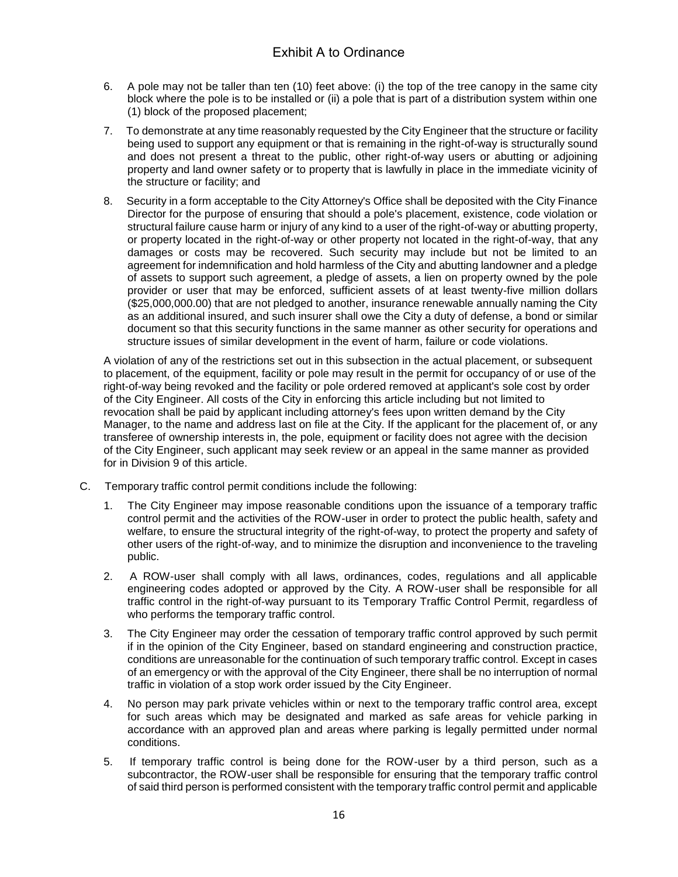- 6. A pole may not be taller than ten (10) feet above: (i) the top of the tree canopy in the same city block where the pole is to be installed or (ii) a pole that is part of a distribution system within one (1) block of the proposed placement;
- 7. To demonstrate at any time reasonably requested by the City Engineer that the structure or facility being used to support any equipment or that is remaining in the right-of-way is structurally sound and does not present a threat to the public, other right-of-way users or abutting or adjoining property and land owner safety or to property that is lawfully in place in the immediate vicinity of the structure or facility; and
- 8. Security in a form acceptable to the City Attorney's Office shall be deposited with the City Finance Director for the purpose of ensuring that should a pole's placement, existence, code violation or structural failure cause harm or injury of any kind to a user of the right-of-way or abutting property, or property located in the right-of-way or other property not located in the right-of-way, that any damages or costs may be recovered. Such security may include but not be limited to an agreement for indemnification and hold harmless of the City and abutting landowner and a pledge of assets to support such agreement, a pledge of assets, a lien on property owned by the pole provider or user that may be enforced, sufficient assets of at least twenty-five million dollars (\$25,000,000.00) that are not pledged to another, insurance renewable annually naming the City as an additional insured, and such insurer shall owe the City a duty of defense, a bond or similar document so that this security functions in the same manner as other security for operations and structure issues of similar development in the event of harm, failure or code violations.

A violation of any of the restrictions set out in this subsection in the actual placement, or subsequent to placement, of the equipment, facility or pole may result in the permit for occupancy of or use of the right-of-way being revoked and the facility or pole ordered removed at applicant's sole cost by order of the City Engineer. All costs of the City in enforcing this article including but not limited to revocation shall be paid by applicant including attorney's fees upon written demand by the City Manager, to the name and address last on file at the City. If the applicant for the placement of, or any transferee of ownership interests in, the pole, equipment or facility does not agree with the decision of the City Engineer, such applicant may seek review or an appeal in the same manner as provided for in Division 9 of this article.

- C. Temporary traffic control permit conditions include the following:
	- 1. The City Engineer may impose reasonable conditions upon the issuance of a temporary traffic control permit and the activities of the ROW-user in order to protect the public health, safety and welfare, to ensure the structural integrity of the right-of-way, to protect the property and safety of other users of the right-of-way, and to minimize the disruption and inconvenience to the traveling public.
	- 2. A ROW-user shall comply with all laws, ordinances, codes, regulations and all applicable engineering codes adopted or approved by the City. A ROW-user shall be responsible for all traffic control in the right-of-way pursuant to its Temporary Traffic Control Permit, regardless of who performs the temporary traffic control.
	- 3. The City Engineer may order the cessation of temporary traffic control approved by such permit if in the opinion of the City Engineer, based on standard engineering and construction practice, conditions are unreasonable for the continuation of such temporary traffic control. Except in cases of an emergency or with the approval of the City Engineer, there shall be no interruption of normal traffic in violation of a stop work order issued by the City Engineer.
	- 4. No person may park private vehicles within or next to the temporary traffic control area, except for such areas which may be designated and marked as safe areas for vehicle parking in accordance with an approved plan and areas where parking is legally permitted under normal conditions.
	- 5. If temporary traffic control is being done for the ROW-user by a third person, such as a subcontractor, the ROW-user shall be responsible for ensuring that the temporary traffic control of said third person is performed consistent with the temporary traffic control permit and applicable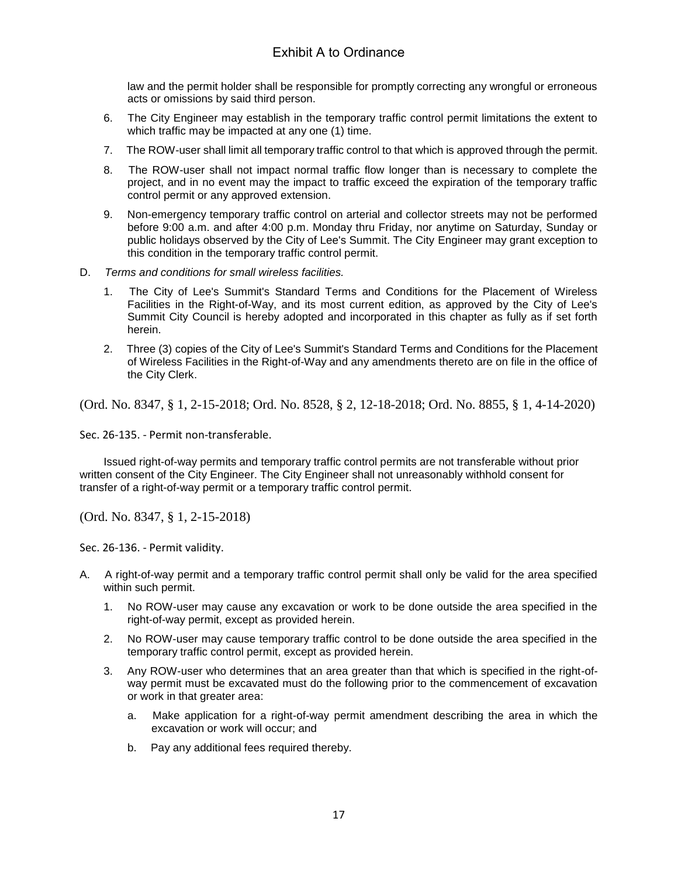law and the permit holder shall be responsible for promptly correcting any wrongful or erroneous acts or omissions by said third person.

- 6. The City Engineer may establish in the temporary traffic control permit limitations the extent to which traffic may be impacted at any one (1) time.
- 7. The ROW-user shall limit all temporary traffic control to that which is approved through the permit.
- 8. The ROW-user shall not impact normal traffic flow longer than is necessary to complete the project, and in no event may the impact to traffic exceed the expiration of the temporary traffic control permit or any approved extension.
- 9. Non-emergency temporary traffic control on arterial and collector streets may not be performed before 9:00 a.m. and after 4:00 p.m. Monday thru Friday, nor anytime on Saturday, Sunday or public holidays observed by the City of Lee's Summit. The City Engineer may grant exception to this condition in the temporary traffic control permit.
- D. *Terms and conditions for small wireless facilities.*
	- 1. The City of Lee's Summit's Standard Terms and Conditions for the Placement of Wireless Facilities in the Right-of-Way, and its most current edition, as approved by the City of Lee's Summit City Council is hereby adopted and incorporated in this chapter as fully as if set forth herein.
	- 2. Three (3) copies of the City of Lee's Summit's Standard Terms and Conditions for the Placement of Wireless Facilities in the Right-of-Way and any amendments thereto are on file in the office of the City Clerk.

(Ord. No. 8347, § 1, 2-15-2018; Ord. No. 8528, § 2, 12-18-2018; Ord. No. 8855, § 1, 4-14-2020)

Sec. 26-135. - Permit non-transferable.

Issued right-of-way permits and temporary traffic control permits are not transferable without prior written consent of the City Engineer. The City Engineer shall not unreasonably withhold consent for transfer of a right-of-way permit or a temporary traffic control permit.

(Ord. No. 8347, § 1, 2-15-2018)

Sec. 26-136. - Permit validity.

- A. A right-of-way permit and a temporary traffic control permit shall only be valid for the area specified within such permit.
	- 1. No ROW-user may cause any excavation or work to be done outside the area specified in the right-of-way permit, except as provided herein.
	- 2. No ROW-user may cause temporary traffic control to be done outside the area specified in the temporary traffic control permit, except as provided herein.
	- 3. Any ROW-user who determines that an area greater than that which is specified in the right-ofway permit must be excavated must do the following prior to the commencement of excavation or work in that greater area:
		- a. Make application for a right-of-way permit amendment describing the area in which the excavation or work will occur; and
		- b. Pay any additional fees required thereby.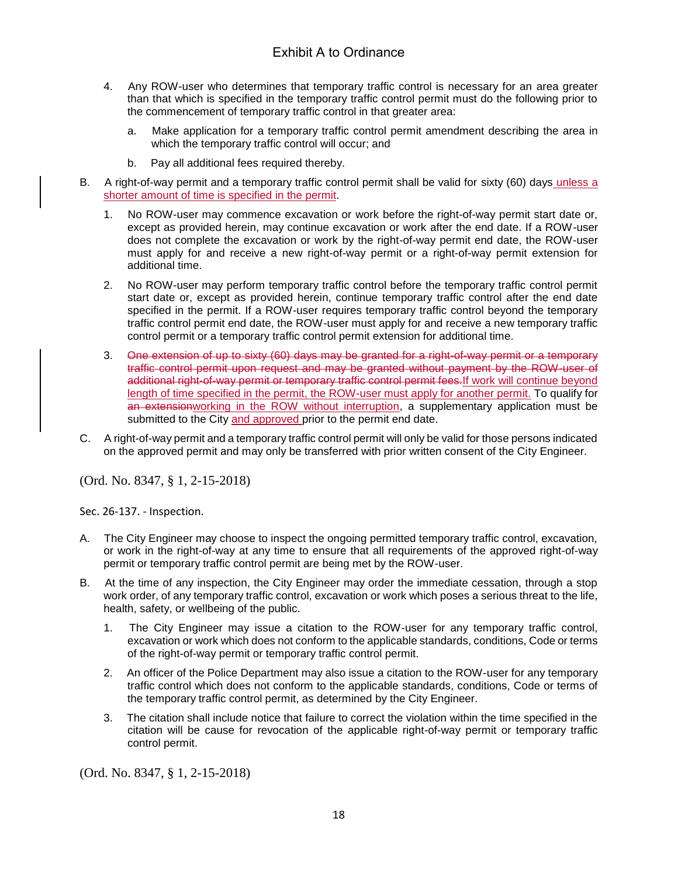- 4. Any ROW-user who determines that temporary traffic control is necessary for an area greater than that which is specified in the temporary traffic control permit must do the following prior to the commencement of temporary traffic control in that greater area:
	- a. Make application for a temporary traffic control permit amendment describing the area in which the temporary traffic control will occur; and
	- b. Pay all additional fees required thereby.
- B. A right-of-way permit and a temporary traffic control permit shall be valid for sixty (60) days unless a shorter amount of time is specified in the permit.
	- 1. No ROW-user may commence excavation or work before the right-of-way permit start date or, except as provided herein, may continue excavation or work after the end date. If a ROW-user does not complete the excavation or work by the right-of-way permit end date, the ROW-user must apply for and receive a new right-of-way permit or a right-of-way permit extension for additional time.
	- 2. No ROW-user may perform temporary traffic control before the temporary traffic control permit start date or, except as provided herein, continue temporary traffic control after the end date specified in the permit. If a ROW-user requires temporary traffic control beyond the temporary traffic control permit end date, the ROW-user must apply for and receive a new temporary traffic control permit or a temporary traffic control permit extension for additional time.
	- 3. One extension of up to sixty (60) days may be granted for a right-of-way permit or a temporary traffic control permit upon request and may be granted without payment by the ROW-user of additional right-of-way permit or temporary traffic control permit fees.If work will continue beyond length of time specified in the permit, the ROW-user must apply for another permit. To qualify for an extensionworking in the ROW without interruption, a supplementary application must be submitted to the City and approved prior to the permit end date.
- C. A right-of-way permit and a temporary traffic control permit will only be valid for those persons indicated on the approved permit and may only be transferred with prior written consent of the City Engineer.

(Ord. No. 8347, § 1, 2-15-2018)

Sec. 26-137. - Inspection.

- A. The City Engineer may choose to inspect the ongoing permitted temporary traffic control, excavation, or work in the right-of-way at any time to ensure that all requirements of the approved right-of-way permit or temporary traffic control permit are being met by the ROW-user.
- B. At the time of any inspection, the City Engineer may order the immediate cessation, through a stop work order, of any temporary traffic control, excavation or work which poses a serious threat to the life, health, safety, or wellbeing of the public.
	- 1. The City Engineer may issue a citation to the ROW-user for any temporary traffic control, excavation or work which does not conform to the applicable standards, conditions, Code or terms of the right-of-way permit or temporary traffic control permit.
	- 2. An officer of the Police Department may also issue a citation to the ROW-user for any temporary traffic control which does not conform to the applicable standards, conditions, Code or terms of the temporary traffic control permit, as determined by the City Engineer.
	- 3. The citation shall include notice that failure to correct the violation within the time specified in the citation will be cause for revocation of the applicable right-of-way permit or temporary traffic control permit.

(Ord. No. 8347, § 1, 2-15-2018)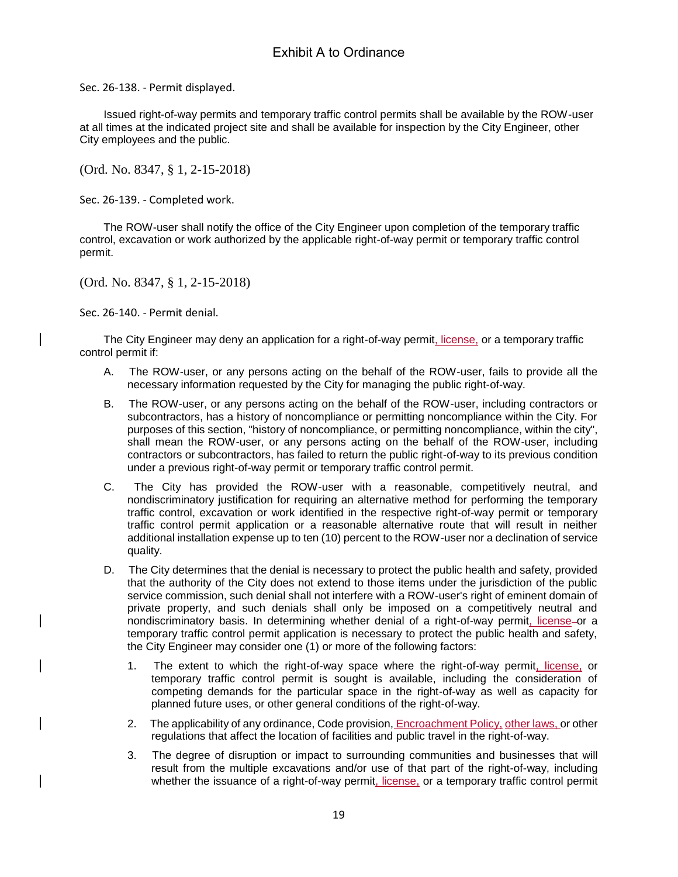Sec. 26-138. - Permit displayed.

Issued right-of-way permits and temporary traffic control permits shall be available by the ROW-user at all times at the indicated project site and shall be available for inspection by the City Engineer, other City employees and the public.

(Ord. No. 8347, § 1, 2-15-2018)

Sec. 26-139. - Completed work.

The ROW-user shall notify the office of the City Engineer upon completion of the temporary traffic control, excavation or work authorized by the applicable right-of-way permit or temporary traffic control permit.

(Ord. No. 8347, § 1, 2-15-2018)

Sec. 26-140. - Permit denial.

The City Engineer may deny an application for a right-of-way permit, license, or a temporary traffic control permit if:

- A. The ROW-user, or any persons acting on the behalf of the ROW-user, fails to provide all the necessary information requested by the City for managing the public right-of-way.
- B. The ROW-user, or any persons acting on the behalf of the ROW-user, including contractors or subcontractors, has a history of noncompliance or permitting noncompliance within the City. For purposes of this section, "history of noncompliance, or permitting noncompliance, within the city", shall mean the ROW-user, or any persons acting on the behalf of the ROW-user, including contractors or subcontractors, has failed to return the public right-of-way to its previous condition under a previous right-of-way permit or temporary traffic control permit.
- C. The City has provided the ROW-user with a reasonable, competitively neutral, and nondiscriminatory justification for requiring an alternative method for performing the temporary traffic control, excavation or work identified in the respective right-of-way permit or temporary traffic control permit application or a reasonable alternative route that will result in neither additional installation expense up to ten (10) percent to the ROW-user nor a declination of service quality.
- D. The City determines that the denial is necessary to protect the public health and safety, provided that the authority of the City does not extend to those items under the jurisdiction of the public service commission, such denial shall not interfere with a ROW-user's right of eminent domain of private property, and such denials shall only be imposed on a competitively neutral and nondiscriminatory basis. In determining whether denial of a right-of-way permit, license-or a temporary traffic control permit application is necessary to protect the public health and safety, the City Engineer may consider one (1) or more of the following factors:
	- 1. The extent to which the right-of-way space where the right-of-way permit, license, or temporary traffic control permit is sought is available, including the consideration of competing demands for the particular space in the right-of-way as well as capacity for planned future uses, or other general conditions of the right-of-way.
	- 2. The applicability of any ordinance, Code provision, Encroachment Policy, other laws, or other regulations that affect the location of facilities and public travel in the right-of-way.
	- 3. The degree of disruption or impact to surrounding communities and businesses that will result from the multiple excavations and/or use of that part of the right-of-way, including whether the issuance of a right-of-way permit, license, or a temporary traffic control permit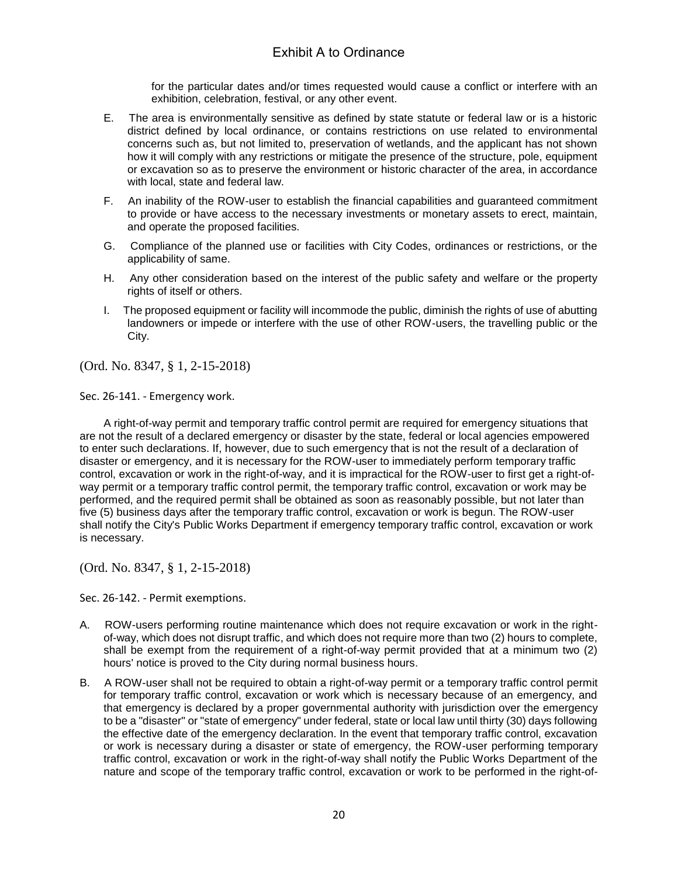for the particular dates and/or times requested would cause a conflict or interfere with an exhibition, celebration, festival, or any other event.

- E. The area is environmentally sensitive as defined by state statute or federal law or is a historic district defined by local ordinance, or contains restrictions on use related to environmental concerns such as, but not limited to, preservation of wetlands, and the applicant has not shown how it will comply with any restrictions or mitigate the presence of the structure, pole, equipment or excavation so as to preserve the environment or historic character of the area, in accordance with local, state and federal law.
- F. An inability of the ROW-user to establish the financial capabilities and guaranteed commitment to provide or have access to the necessary investments or monetary assets to erect, maintain, and operate the proposed facilities.
- G. Compliance of the planned use or facilities with City Codes, ordinances or restrictions, or the applicability of same.
- H. Any other consideration based on the interest of the public safety and welfare or the property rights of itself or others.
- I. The proposed equipment or facility will incommode the public, diminish the rights of use of abutting landowners or impede or interfere with the use of other ROW-users, the travelling public or the City.

(Ord. No. 8347, § 1, 2-15-2018)

Sec. 26-141. - Emergency work.

A right-of-way permit and temporary traffic control permit are required for emergency situations that are not the result of a declared emergency or disaster by the state, federal or local agencies empowered to enter such declarations. If, however, due to such emergency that is not the result of a declaration of disaster or emergency, and it is necessary for the ROW-user to immediately perform temporary traffic control, excavation or work in the right-of-way, and it is impractical for the ROW-user to first get a right-ofway permit or a temporary traffic control permit, the temporary traffic control, excavation or work may be performed, and the required permit shall be obtained as soon as reasonably possible, but not later than five (5) business days after the temporary traffic control, excavation or work is begun. The ROW-user shall notify the City's Public Works Department if emergency temporary traffic control, excavation or work is necessary.

(Ord. No. 8347, § 1, 2-15-2018)

Sec. 26-142. - Permit exemptions.

- A. ROW-users performing routine maintenance which does not require excavation or work in the rightof-way, which does not disrupt traffic, and which does not require more than two (2) hours to complete, shall be exempt from the requirement of a right-of-way permit provided that at a minimum two (2) hours' notice is proved to the City during normal business hours.
- B. A ROW-user shall not be required to obtain a right-of-way permit or a temporary traffic control permit for temporary traffic control, excavation or work which is necessary because of an emergency, and that emergency is declared by a proper governmental authority with jurisdiction over the emergency to be a "disaster" or "state of emergency" under federal, state or local law until thirty (30) days following the effective date of the emergency declaration. In the event that temporary traffic control, excavation or work is necessary during a disaster or state of emergency, the ROW-user performing temporary traffic control, excavation or work in the right-of-way shall notify the Public Works Department of the nature and scope of the temporary traffic control, excavation or work to be performed in the right-of-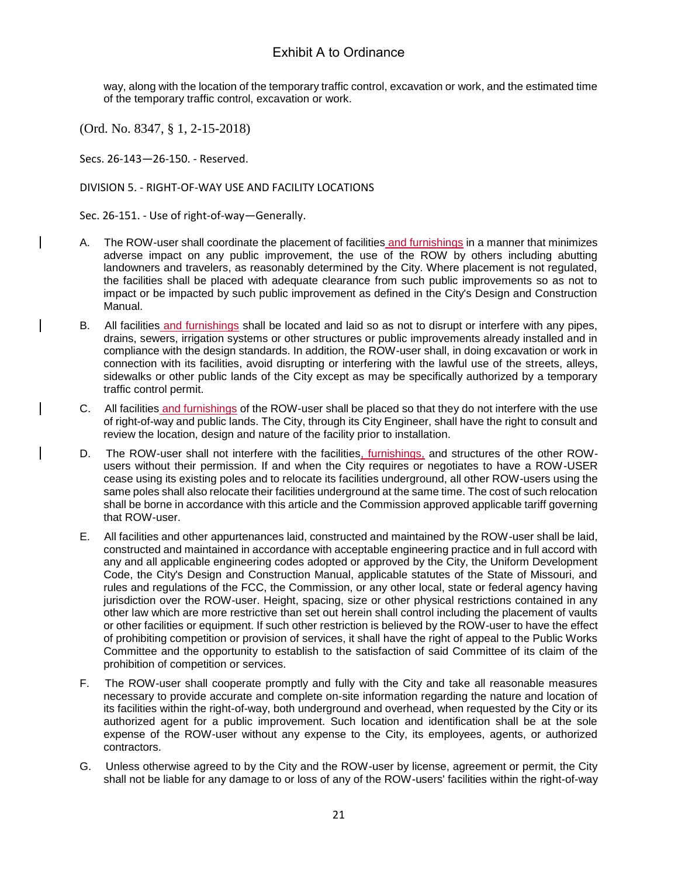way, along with the location of the temporary traffic control, excavation or work, and the estimated time of the temporary traffic control, excavation or work.

(Ord. No. 8347, § 1, 2-15-2018)

Secs. 26-143—26-150. - Reserved.

#### DIVISION 5. - RIGHT-OF-WAY USE AND FACILITY LOCATIONS

Sec. 26-151. - Use of right-of-way—Generally.

- A. The ROW-user shall coordinate the placement of facilities and furnishings in a manner that minimizes adverse impact on any public improvement, the use of the ROW by others including abutting landowners and travelers, as reasonably determined by the City. Where placement is not regulated, the facilities shall be placed with adequate clearance from such public improvements so as not to impact or be impacted by such public improvement as defined in the City's Design and Construction Manual.
- B. All facilities and furnishings shall be located and laid so as not to disrupt or interfere with any pipes, drains, sewers, irrigation systems or other structures or public improvements already installed and in compliance with the design standards. In addition, the ROW-user shall, in doing excavation or work in connection with its facilities, avoid disrupting or interfering with the lawful use of the streets, alleys, sidewalks or other public lands of the City except as may be specifically authorized by a temporary traffic control permit.
- C. All facilities and furnishings of the ROW-user shall be placed so that they do not interfere with the use of right-of-way and public lands. The City, through its City Engineer, shall have the right to consult and review the location, design and nature of the facility prior to installation.
- D. The ROW-user shall not interfere with the facilities, furnishings, and structures of the other ROWusers without their permission. If and when the City requires or negotiates to have a ROW-USER cease using its existing poles and to relocate its facilities underground, all other ROW-users using the same poles shall also relocate their facilities underground at the same time. The cost of such relocation shall be borne in accordance with this article and the Commission approved applicable tariff governing that ROW-user.
- E. All facilities and other appurtenances laid, constructed and maintained by the ROW-user shall be laid, constructed and maintained in accordance with acceptable engineering practice and in full accord with any and all applicable engineering codes adopted or approved by the City, the Uniform Development Code, the City's Design and Construction Manual, applicable statutes of the State of Missouri, and rules and regulations of the FCC, the Commission, or any other local, state or federal agency having jurisdiction over the ROW-user. Height, spacing, size or other physical restrictions contained in any other law which are more restrictive than set out herein shall control including the placement of vaults or other facilities or equipment. If such other restriction is believed by the ROW-user to have the effect of prohibiting competition or provision of services, it shall have the right of appeal to the Public Works Committee and the opportunity to establish to the satisfaction of said Committee of its claim of the prohibition of competition or services.
- F. The ROW-user shall cooperate promptly and fully with the City and take all reasonable measures necessary to provide accurate and complete on-site information regarding the nature and location of its facilities within the right-of-way, both underground and overhead, when requested by the City or its authorized agent for a public improvement. Such location and identification shall be at the sole expense of the ROW-user without any expense to the City, its employees, agents, or authorized contractors.
- G. Unless otherwise agreed to by the City and the ROW-user by license, agreement or permit, the City shall not be liable for any damage to or loss of any of the ROW-users' facilities within the right-of-way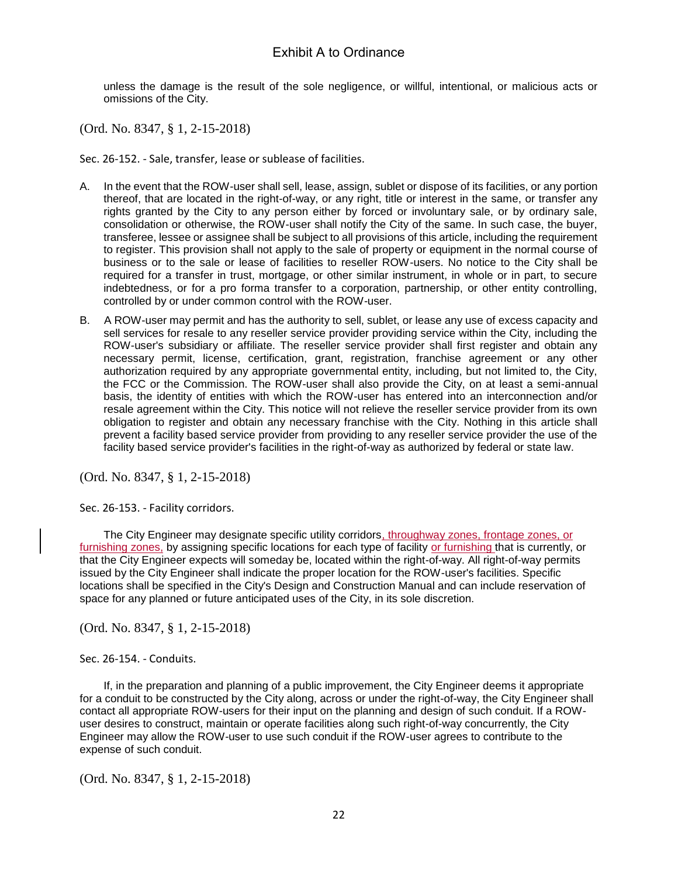unless the damage is the result of the sole negligence, or willful, intentional, or malicious acts or omissions of the City.

(Ord. No. 8347, § 1, 2-15-2018)

Sec. 26-152. - Sale, transfer, lease or sublease of facilities.

- A. In the event that the ROW-user shall sell, lease, assign, sublet or dispose of its facilities, or any portion thereof, that are located in the right-of-way, or any right, title or interest in the same, or transfer any rights granted by the City to any person either by forced or involuntary sale, or by ordinary sale, consolidation or otherwise, the ROW-user shall notify the City of the same. In such case, the buyer, transferee, lessee or assignee shall be subject to all provisions of this article, including the requirement to register. This provision shall not apply to the sale of property or equipment in the normal course of business or to the sale or lease of facilities to reseller ROW-users. No notice to the City shall be required for a transfer in trust, mortgage, or other similar instrument, in whole or in part, to secure indebtedness, or for a pro forma transfer to a corporation, partnership, or other entity controlling, controlled by or under common control with the ROW-user.
- B. A ROW-user may permit and has the authority to sell, sublet, or lease any use of excess capacity and sell services for resale to any reseller service provider providing service within the City, including the ROW-user's subsidiary or affiliate. The reseller service provider shall first register and obtain any necessary permit, license, certification, grant, registration, franchise agreement or any other authorization required by any appropriate governmental entity, including, but not limited to, the City, the FCC or the Commission. The ROW-user shall also provide the City, on at least a semi-annual basis, the identity of entities with which the ROW-user has entered into an interconnection and/or resale agreement within the City. This notice will not relieve the reseller service provider from its own obligation to register and obtain any necessary franchise with the City. Nothing in this article shall prevent a facility based service provider from providing to any reseller service provider the use of the facility based service provider's facilities in the right-of-way as authorized by federal or state law.

(Ord. No. 8347, § 1, 2-15-2018)

Sec. 26-153. - Facility corridors.

The City Engineer may designate specific utility corridors, throughway zones, frontage zones, or furnishing zones, by assigning specific locations for each type of facility or furnishing that is currently, or that the City Engineer expects will someday be, located within the right-of-way. All right-of-way permits issued by the City Engineer shall indicate the proper location for the ROW-user's facilities. Specific locations shall be specified in the City's Design and Construction Manual and can include reservation of space for any planned or future anticipated uses of the City, in its sole discretion.

(Ord. No. 8347, § 1, 2-15-2018)

Sec. 26-154. - Conduits.

If, in the preparation and planning of a public improvement, the City Engineer deems it appropriate for a conduit to be constructed by the City along, across or under the right-of-way, the City Engineer shall contact all appropriate ROW-users for their input on the planning and design of such conduit. If a ROWuser desires to construct, maintain or operate facilities along such right-of-way concurrently, the City Engineer may allow the ROW-user to use such conduit if the ROW-user agrees to contribute to the expense of such conduit.

(Ord. No. 8347, § 1, 2-15-2018)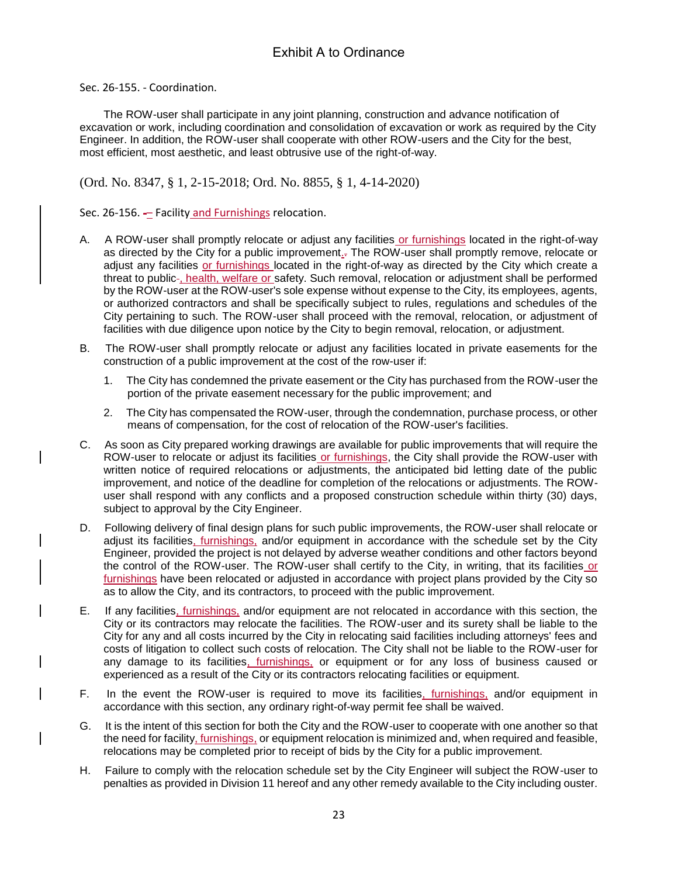Sec. 26-155. - Coordination.

The ROW-user shall participate in any joint planning, construction and advance notification of excavation or work, including coordination and consolidation of excavation or work as required by the City Engineer. In addition, the ROW-user shall cooperate with other ROW-users and the City for the best, most efficient, most aesthetic, and least obtrusive use of the right-of-way.

(Ord. No. 8347, § 1, 2-15-2018; Ord. No. 8855, § 1, 4-14-2020)

Sec. 26-156. - Facility and Furnishings relocation.

- A. A ROW-user shall promptly relocate or adjust any facilities or furnishings located in the right-of-way as directed by the City for a public improvement.. The ROW-user shall promptly remove, relocate or adjust any facilities or furnishings located in the right-of-way as directed by the City which create a threat to public-, health, welfare or safety. Such removal, relocation or adjustment shall be performed by the ROW-user at the ROW-user's sole expense without expense to the City, its employees, agents, or authorized contractors and shall be specifically subject to rules, regulations and schedules of the City pertaining to such. The ROW-user shall proceed with the removal, relocation, or adjustment of facilities with due diligence upon notice by the City to begin removal, relocation, or adjustment.
- B. The ROW-user shall promptly relocate or adjust any facilities located in private easements for the construction of a public improvement at the cost of the row-user if:
	- 1. The City has condemned the private easement or the City has purchased from the ROW-user the portion of the private easement necessary for the public improvement; and
	- 2. The City has compensated the ROW-user, through the condemnation, purchase process, or other means of compensation, for the cost of relocation of the ROW-user's facilities.
- C. As soon as City prepared working drawings are available for public improvements that will require the ROW-user to relocate or adjust its facilities or furnishings, the City shall provide the ROW-user with written notice of required relocations or adjustments, the anticipated bid letting date of the public improvement, and notice of the deadline for completion of the relocations or adjustments. The ROWuser shall respond with any conflicts and a proposed construction schedule within thirty (30) days, subject to approval by the City Engineer.
- D. Following delivery of final design plans for such public improvements, the ROW-user shall relocate or adjust its facilities, furnishings, and/or equipment in accordance with the schedule set by the City Engineer, provided the project is not delayed by adverse weather conditions and other factors beyond the control of the ROW-user. The ROW-user shall certify to the City, in writing, that its facilities or furnishings have been relocated or adjusted in accordance with project plans provided by the City so as to allow the City, and its contractors, to proceed with the public improvement.
- E. If any facilities, furnishings, and/or equipment are not relocated in accordance with this section, the City or its contractors may relocate the facilities. The ROW-user and its surety shall be liable to the City for any and all costs incurred by the City in relocating said facilities including attorneys' fees and costs of litigation to collect such costs of relocation. The City shall not be liable to the ROW-user for any damage to its facilities, furnishings, or equipment or for any loss of business caused or experienced as a result of the City or its contractors relocating facilities or equipment.
- F. In the event the ROW-user is required to move its facilities, furnishings, and/or equipment in accordance with this section, any ordinary right-of-way permit fee shall be waived.
- G. It is the intent of this section for both the City and the ROW-user to cooperate with one another so that the need for facility, furnishings, or equipment relocation is minimized and, when required and feasible, relocations may be completed prior to receipt of bids by the City for a public improvement.
- H. Failure to comply with the relocation schedule set by the City Engineer will subject the ROW-user to penalties as provided in Division 11 hereof and any other remedy available to the City including ouster.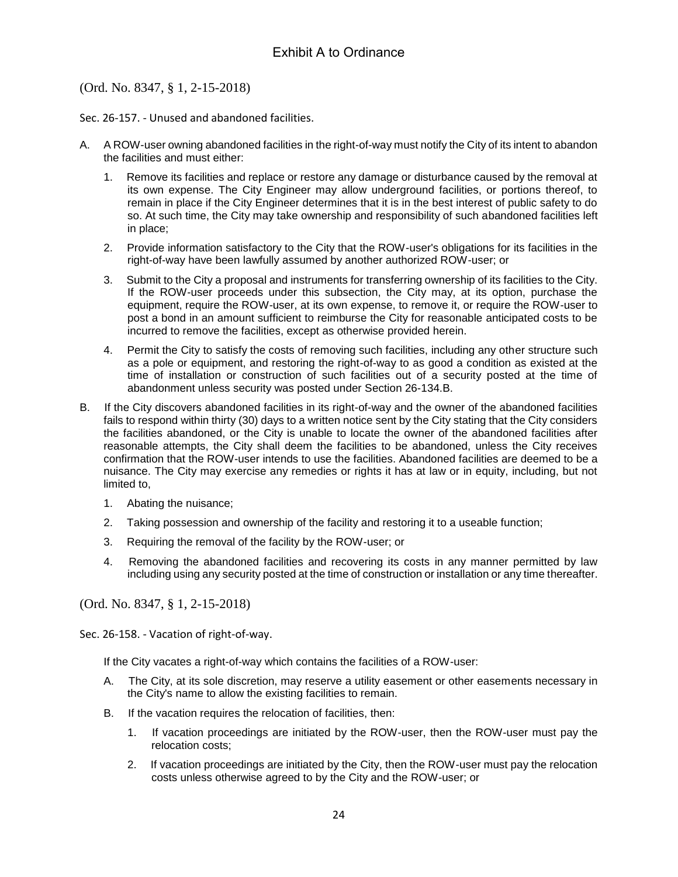(Ord. No. 8347, § 1, 2-15-2018)

Sec. 26-157. - Unused and abandoned facilities.

- A. A ROW-user owning abandoned facilities in the right-of-way must notify the City of its intent to abandon the facilities and must either:
	- 1. Remove its facilities and replace or restore any damage or disturbance caused by the removal at its own expense. The City Engineer may allow underground facilities, or portions thereof, to remain in place if the City Engineer determines that it is in the best interest of public safety to do so. At such time, the City may take ownership and responsibility of such abandoned facilities left in place;
	- 2. Provide information satisfactory to the City that the ROW-user's obligations for its facilities in the right-of-way have been lawfully assumed by another authorized ROW-user; or
	- 3. Submit to the City a proposal and instruments for transferring ownership of its facilities to the City. If the ROW-user proceeds under this subsection, the City may, at its option, purchase the equipment, require the ROW-user, at its own expense, to remove it, or require the ROW-user to post a bond in an amount sufficient to reimburse the City for reasonable anticipated costs to be incurred to remove the facilities, except as otherwise provided herein.
	- 4. Permit the City to satisfy the costs of removing such facilities, including any other structure such as a pole or equipment, and restoring the right-of-way to as good a condition as existed at the time of installation or construction of such facilities out of a security posted at the time of abandonment unless security was posted under Section 26-134.B.
- B. If the City discovers abandoned facilities in its right-of-way and the owner of the abandoned facilities fails to respond within thirty (30) days to a written notice sent by the City stating that the City considers the facilities abandoned, or the City is unable to locate the owner of the abandoned facilities after reasonable attempts, the City shall deem the facilities to be abandoned, unless the City receives confirmation that the ROW-user intends to use the facilities. Abandoned facilities are deemed to be a nuisance. The City may exercise any remedies or rights it has at law or in equity, including, but not limited to,
	- 1. Abating the nuisance;
	- 2. Taking possession and ownership of the facility and restoring it to a useable function;
	- 3. Requiring the removal of the facility by the ROW-user; or
	- 4. Removing the abandoned facilities and recovering its costs in any manner permitted by law including using any security posted at the time of construction or installation or any time thereafter.

(Ord. No. 8347, § 1, 2-15-2018)

Sec. 26-158. - Vacation of right-of-way.

If the City vacates a right-of-way which contains the facilities of a ROW-user:

- A. The City, at its sole discretion, may reserve a utility easement or other easements necessary in the City's name to allow the existing facilities to remain.
- B. If the vacation requires the relocation of facilities, then:
	- 1. If vacation proceedings are initiated by the ROW-user, then the ROW-user must pay the relocation costs;
	- 2. If vacation proceedings are initiated by the City, then the ROW-user must pay the relocation costs unless otherwise agreed to by the City and the ROW-user; or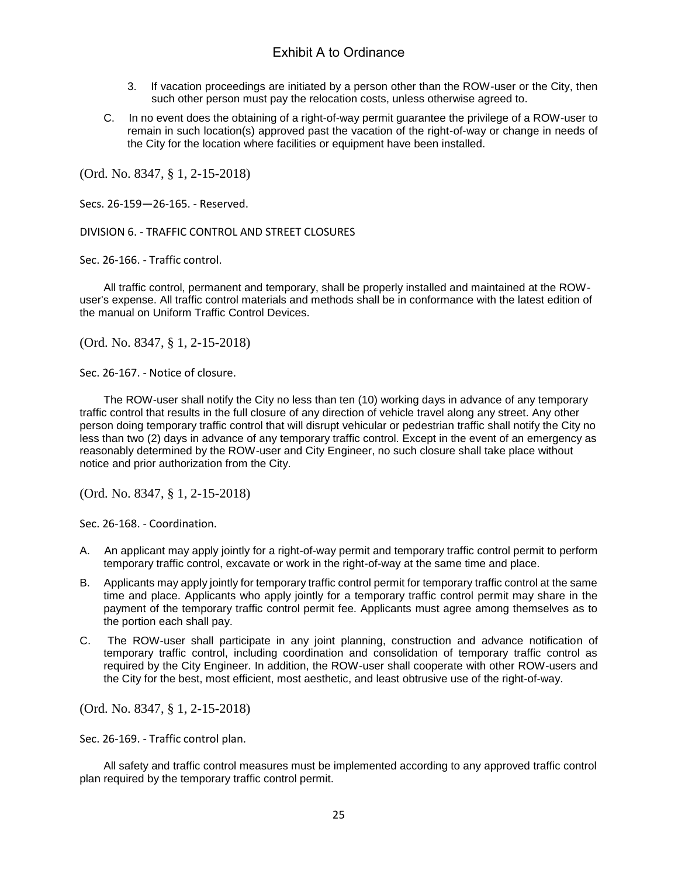- 3. If vacation proceedings are initiated by a person other than the ROW-user or the City, then such other person must pay the relocation costs, unless otherwise agreed to.
- C. In no event does the obtaining of a right-of-way permit guarantee the privilege of a ROW-user to remain in such location(s) approved past the vacation of the right-of-way or change in needs of the City for the location where facilities or equipment have been installed.

(Ord. No. 8347, § 1, 2-15-2018)

Secs. 26-159—26-165. - Reserved.

DIVISION 6. - TRAFFIC CONTROL AND STREET CLOSURES

Sec. 26-166. - Traffic control.

All traffic control, permanent and temporary, shall be properly installed and maintained at the ROWuser's expense. All traffic control materials and methods shall be in conformance with the latest edition of the manual on Uniform Traffic Control Devices.

(Ord. No. 8347, § 1, 2-15-2018)

Sec. 26-167. - Notice of closure.

The ROW-user shall notify the City no less than ten (10) working days in advance of any temporary traffic control that results in the full closure of any direction of vehicle travel along any street. Any other person doing temporary traffic control that will disrupt vehicular or pedestrian traffic shall notify the City no less than two (2) days in advance of any temporary traffic control. Except in the event of an emergency as reasonably determined by the ROW-user and City Engineer, no such closure shall take place without notice and prior authorization from the City.

(Ord. No. 8347, § 1, 2-15-2018)

Sec. 26-168. - Coordination.

- A. An applicant may apply jointly for a right-of-way permit and temporary traffic control permit to perform temporary traffic control, excavate or work in the right-of-way at the same time and place.
- B. Applicants may apply jointly for temporary traffic control permit for temporary traffic control at the same time and place. Applicants who apply jointly for a temporary traffic control permit may share in the payment of the temporary traffic control permit fee. Applicants must agree among themselves as to the portion each shall pay.
- C. The ROW-user shall participate in any joint planning, construction and advance notification of temporary traffic control, including coordination and consolidation of temporary traffic control as required by the City Engineer. In addition, the ROW-user shall cooperate with other ROW-users and the City for the best, most efficient, most aesthetic, and least obtrusive use of the right-of-way.

(Ord. No. 8347, § 1, 2-15-2018)

Sec. 26-169. - Traffic control plan.

All safety and traffic control measures must be implemented according to any approved traffic control plan required by the temporary traffic control permit.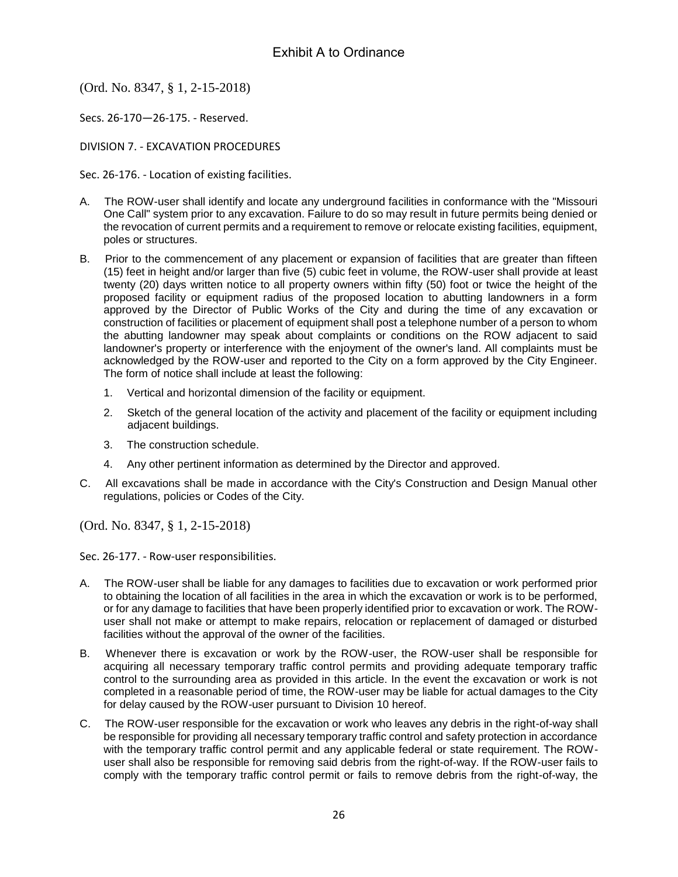(Ord. No. 8347, § 1, 2-15-2018)

Secs. 26-170—26-175. - Reserved.

DIVISION 7. - EXCAVATION PROCEDURES

Sec. 26-176. - Location of existing facilities.

- A. The ROW-user shall identify and locate any underground facilities in conformance with the "Missouri One Call" system prior to any excavation. Failure to do so may result in future permits being denied or the revocation of current permits and a requirement to remove or relocate existing facilities, equipment, poles or structures.
- B. Prior to the commencement of any placement or expansion of facilities that are greater than fifteen (15) feet in height and/or larger than five (5) cubic feet in volume, the ROW-user shall provide at least twenty (20) days written notice to all property owners within fifty (50) foot or twice the height of the proposed facility or equipment radius of the proposed location to abutting landowners in a form approved by the Director of Public Works of the City and during the time of any excavation or construction of facilities or placement of equipment shall post a telephone number of a person to whom the abutting landowner may speak about complaints or conditions on the ROW adjacent to said landowner's property or interference with the enjoyment of the owner's land. All complaints must be acknowledged by the ROW-user and reported to the City on a form approved by the City Engineer. The form of notice shall include at least the following:
	- 1. Vertical and horizontal dimension of the facility or equipment.
	- 2. Sketch of the general location of the activity and placement of the facility or equipment including adjacent buildings.
	- 3. The construction schedule.
	- 4. Any other pertinent information as determined by the Director and approved.
- C. All excavations shall be made in accordance with the City's Construction and Design Manual other regulations, policies or Codes of the City.

(Ord. No. 8347, § 1, 2-15-2018)

Sec. 26-177. - Row-user responsibilities.

- A. The ROW-user shall be liable for any damages to facilities due to excavation or work performed prior to obtaining the location of all facilities in the area in which the excavation or work is to be performed, or for any damage to facilities that have been properly identified prior to excavation or work. The ROWuser shall not make or attempt to make repairs, relocation or replacement of damaged or disturbed facilities without the approval of the owner of the facilities.
- B. Whenever there is excavation or work by the ROW-user, the ROW-user shall be responsible for acquiring all necessary temporary traffic control permits and providing adequate temporary traffic control to the surrounding area as provided in this article. In the event the excavation or work is not completed in a reasonable period of time, the ROW-user may be liable for actual damages to the City for delay caused by the ROW-user pursuant to Division 10 hereof.
- C. The ROW-user responsible for the excavation or work who leaves any debris in the right-of-way shall be responsible for providing all necessary temporary traffic control and safety protection in accordance with the temporary traffic control permit and any applicable federal or state requirement. The ROWuser shall also be responsible for removing said debris from the right-of-way. If the ROW-user fails to comply with the temporary traffic control permit or fails to remove debris from the right-of-way, the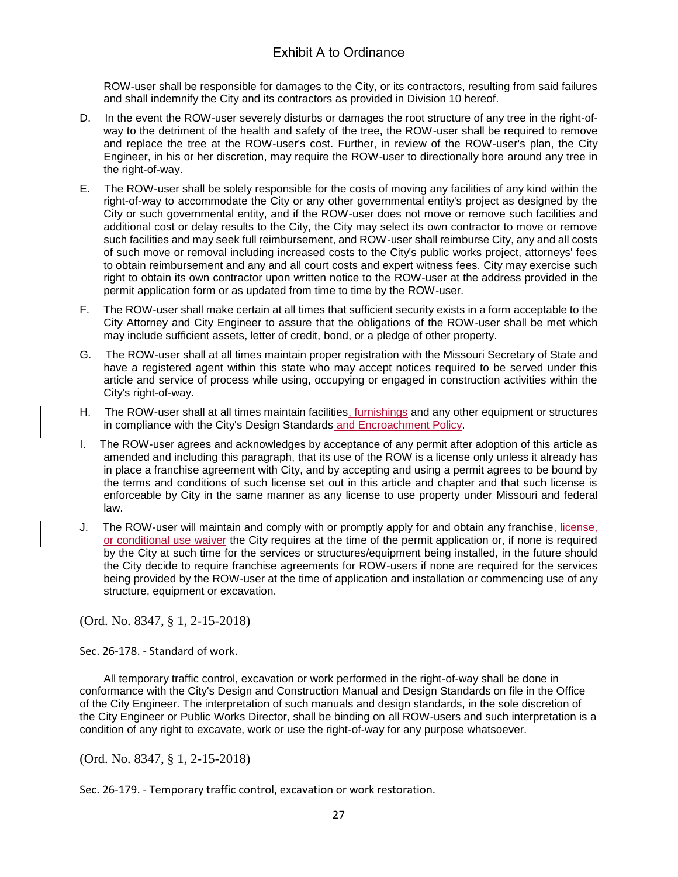ROW-user shall be responsible for damages to the City, or its contractors, resulting from said failures and shall indemnify the City and its contractors as provided in Division 10 hereof.

- D. In the event the ROW-user severely disturbs or damages the root structure of any tree in the right-ofway to the detriment of the health and safety of the tree, the ROW-user shall be required to remove and replace the tree at the ROW-user's cost. Further, in review of the ROW-user's plan, the City Engineer, in his or her discretion, may require the ROW-user to directionally bore around any tree in the right-of-way.
- E. The ROW-user shall be solely responsible for the costs of moving any facilities of any kind within the right-of-way to accommodate the City or any other governmental entity's project as designed by the City or such governmental entity, and if the ROW-user does not move or remove such facilities and additional cost or delay results to the City, the City may select its own contractor to move or remove such facilities and may seek full reimbursement, and ROW-user shall reimburse City, any and all costs of such move or removal including increased costs to the City's public works project, attorneys' fees to obtain reimbursement and any and all court costs and expert witness fees. City may exercise such right to obtain its own contractor upon written notice to the ROW-user at the address provided in the permit application form or as updated from time to time by the ROW-user.
- F. The ROW-user shall make certain at all times that sufficient security exists in a form acceptable to the City Attorney and City Engineer to assure that the obligations of the ROW-user shall be met which may include sufficient assets, letter of credit, bond, or a pledge of other property.
- G. The ROW-user shall at all times maintain proper registration with the Missouri Secretary of State and have a registered agent within this state who may accept notices required to be served under this article and service of process while using, occupying or engaged in construction activities within the City's right-of-way.
- H. The ROW-user shall at all times maintain facilities, furnishings and any other equipment or structures in compliance with the City's Design Standards and Encroachment Policy.
- The ROW-user agrees and acknowledges by acceptance of any permit after adoption of this article as amended and including this paragraph, that its use of the ROW is a license only unless it already has in place a franchise agreement with City, and by accepting and using a permit agrees to be bound by the terms and conditions of such license set out in this article and chapter and that such license is enforceable by City in the same manner as any license to use property under Missouri and federal law.
- J. The ROW-user will maintain and comply with or promptly apply for and obtain any franchise, license, or conditional use waiver the City requires at the time of the permit application or, if none is required by the City at such time for the services or structures/equipment being installed, in the future should the City decide to require franchise agreements for ROW-users if none are required for the services being provided by the ROW-user at the time of application and installation or commencing use of any structure, equipment or excavation.

(Ord. No. 8347, § 1, 2-15-2018)

Sec. 26-178. - Standard of work.

All temporary traffic control, excavation or work performed in the right-of-way shall be done in conformance with the City's Design and Construction Manual and Design Standards on file in the Office of the City Engineer. The interpretation of such manuals and design standards, in the sole discretion of the City Engineer or Public Works Director, shall be binding on all ROW-users and such interpretation is a condition of any right to excavate, work or use the right-of-way for any purpose whatsoever.

(Ord. No. 8347, § 1, 2-15-2018)

Sec. 26-179. - Temporary traffic control, excavation or work restoration.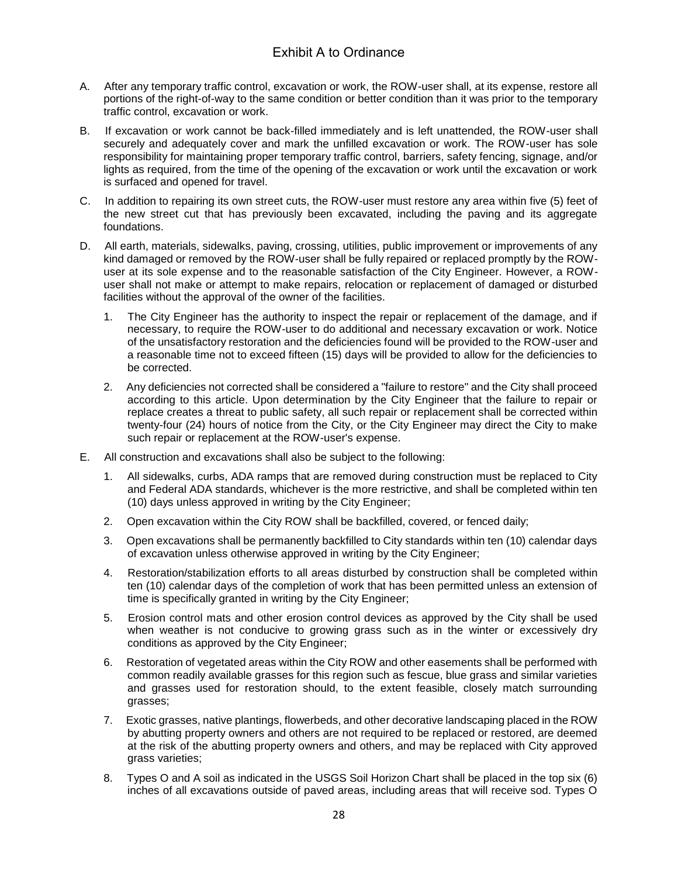- A. After any temporary traffic control, excavation or work, the ROW-user shall, at its expense, restore all portions of the right-of-way to the same condition or better condition than it was prior to the temporary traffic control, excavation or work.
- B. If excavation or work cannot be back-filled immediately and is left unattended, the ROW-user shall securely and adequately cover and mark the unfilled excavation or work. The ROW-user has sole responsibility for maintaining proper temporary traffic control, barriers, safety fencing, signage, and/or lights as required, from the time of the opening of the excavation or work until the excavation or work is surfaced and opened for travel.
- C. In addition to repairing its own street cuts, the ROW-user must restore any area within five (5) feet of the new street cut that has previously been excavated, including the paving and its aggregate foundations.
- D. All earth, materials, sidewalks, paving, crossing, utilities, public improvement or improvements of any kind damaged or removed by the ROW-user shall be fully repaired or replaced promptly by the ROWuser at its sole expense and to the reasonable satisfaction of the City Engineer. However, a ROWuser shall not make or attempt to make repairs, relocation or replacement of damaged or disturbed facilities without the approval of the owner of the facilities.
	- 1. The City Engineer has the authority to inspect the repair or replacement of the damage, and if necessary, to require the ROW-user to do additional and necessary excavation or work. Notice of the unsatisfactory restoration and the deficiencies found will be provided to the ROW-user and a reasonable time not to exceed fifteen (15) days will be provided to allow for the deficiencies to be corrected.
	- 2. Any deficiencies not corrected shall be considered a "failure to restore" and the City shall proceed according to this article. Upon determination by the City Engineer that the failure to repair or replace creates a threat to public safety, all such repair or replacement shall be corrected within twenty-four (24) hours of notice from the City, or the City Engineer may direct the City to make such repair or replacement at the ROW-user's expense.
- E. All construction and excavations shall also be subject to the following:
	- 1. All sidewalks, curbs, ADA ramps that are removed during construction must be replaced to City and Federal ADA standards, whichever is the more restrictive, and shall be completed within ten (10) days unless approved in writing by the City Engineer;
	- 2. Open excavation within the City ROW shall be backfilled, covered, or fenced daily;
	- 3. Open excavations shall be permanently backfilled to City standards within ten (10) calendar days of excavation unless otherwise approved in writing by the City Engineer;
	- 4. Restoration/stabilization efforts to all areas disturbed by construction shall be completed within ten (10) calendar days of the completion of work that has been permitted unless an extension of time is specifically granted in writing by the City Engineer;
	- 5. Erosion control mats and other erosion control devices as approved by the City shall be used when weather is not conducive to growing grass such as in the winter or excessively dry conditions as approved by the City Engineer;
	- 6. Restoration of vegetated areas within the City ROW and other easements shall be performed with common readily available grasses for this region such as fescue, blue grass and similar varieties and grasses used for restoration should, to the extent feasible, closely match surrounding grasses;
	- 7. Exotic grasses, native plantings, flowerbeds, and other decorative landscaping placed in the ROW by abutting property owners and others are not required to be replaced or restored, are deemed at the risk of the abutting property owners and others, and may be replaced with City approved grass varieties;
	- 8. Types O and A soil as indicated in the USGS Soil Horizon Chart shall be placed in the top six (6) inches of all excavations outside of paved areas, including areas that will receive sod. Types O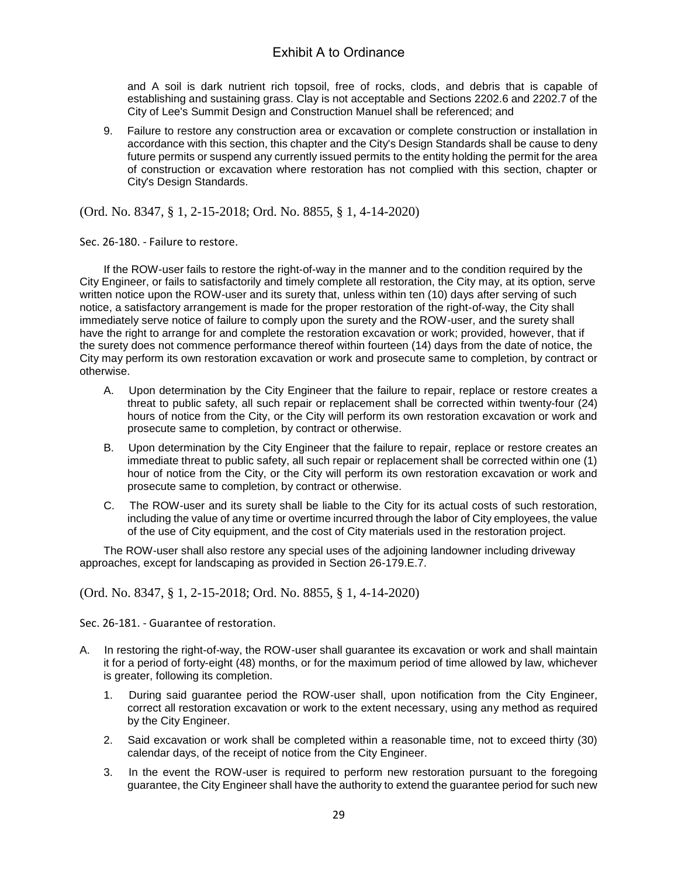and A soil is dark nutrient rich topsoil, free of rocks, clods, and debris that is capable of establishing and sustaining grass. Clay is not acceptable and Sections 2202.6 and 2202.7 of the City of Lee's Summit Design and Construction Manuel shall be referenced; and

9. Failure to restore any construction area or excavation or complete construction or installation in accordance with this section, this chapter and the City's Design Standards shall be cause to deny future permits or suspend any currently issued permits to the entity holding the permit for the area of construction or excavation where restoration has not complied with this section, chapter or City's Design Standards.

(Ord. No. 8347, § 1, 2-15-2018; Ord. No. 8855, § 1, 4-14-2020)

Sec. 26-180. - Failure to restore.

If the ROW-user fails to restore the right-of-way in the manner and to the condition required by the City Engineer, or fails to satisfactorily and timely complete all restoration, the City may, at its option, serve written notice upon the ROW-user and its surety that, unless within ten (10) days after serving of such notice, a satisfactory arrangement is made for the proper restoration of the right-of-way, the City shall immediately serve notice of failure to comply upon the surety and the ROW-user, and the surety shall have the right to arrange for and complete the restoration excavation or work; provided, however, that if the surety does not commence performance thereof within fourteen (14) days from the date of notice, the City may perform its own restoration excavation or work and prosecute same to completion, by contract or otherwise.

- A. Upon determination by the City Engineer that the failure to repair, replace or restore creates a threat to public safety, all such repair or replacement shall be corrected within twenty-four (24) hours of notice from the City, or the City will perform its own restoration excavation or work and prosecute same to completion, by contract or otherwise.
- B. Upon determination by the City Engineer that the failure to repair, replace or restore creates an immediate threat to public safety, all such repair or replacement shall be corrected within one (1) hour of notice from the City, or the City will perform its own restoration excavation or work and prosecute same to completion, by contract or otherwise.
- C. The ROW-user and its surety shall be liable to the City for its actual costs of such restoration, including the value of any time or overtime incurred through the labor of City employees, the value of the use of City equipment, and the cost of City materials used in the restoration project.

The ROW-user shall also restore any special uses of the adjoining landowner including driveway approaches, except for landscaping as provided in Section 26-179.E.7.

(Ord. No. 8347, § 1, 2-15-2018; Ord. No. 8855, § 1, 4-14-2020)

Sec. 26-181. - Guarantee of restoration.

- A. In restoring the right-of-way, the ROW-user shall guarantee its excavation or work and shall maintain it for a period of forty-eight (48) months, or for the maximum period of time allowed by law, whichever is greater, following its completion.
	- 1. During said guarantee period the ROW-user shall, upon notification from the City Engineer, correct all restoration excavation or work to the extent necessary, using any method as required by the City Engineer.
	- 2. Said excavation or work shall be completed within a reasonable time, not to exceed thirty (30) calendar days, of the receipt of notice from the City Engineer.
	- 3. In the event the ROW-user is required to perform new restoration pursuant to the foregoing guarantee, the City Engineer shall have the authority to extend the guarantee period for such new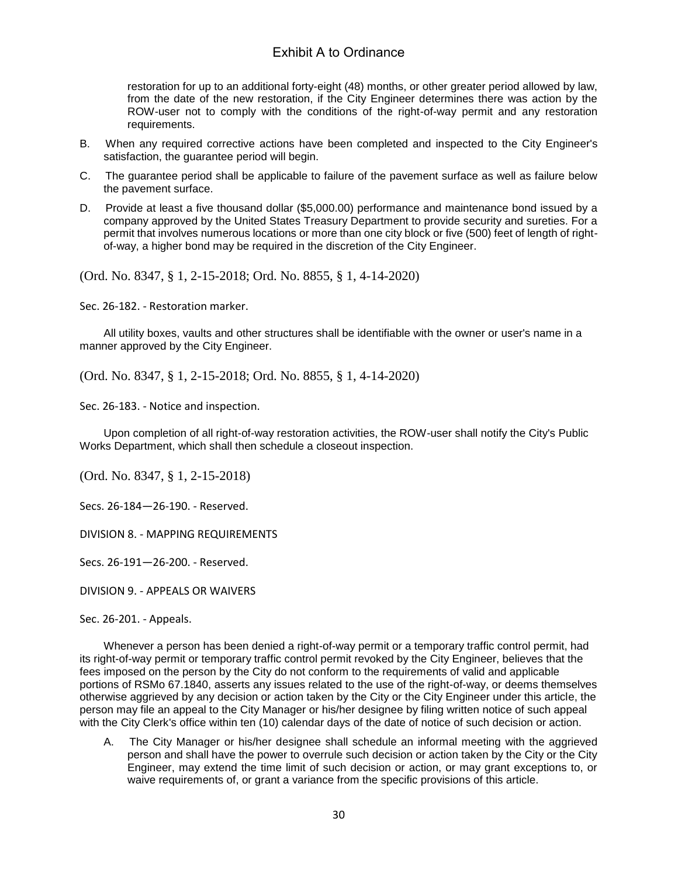restoration for up to an additional forty-eight (48) months, or other greater period allowed by law, from the date of the new restoration, if the City Engineer determines there was action by the ROW-user not to comply with the conditions of the right-of-way permit and any restoration requirements.

- B. When any required corrective actions have been completed and inspected to the City Engineer's satisfaction, the guarantee period will begin.
- C. The guarantee period shall be applicable to failure of the pavement surface as well as failure below the pavement surface.
- D. Provide at least a five thousand dollar (\$5,000.00) performance and maintenance bond issued by a company approved by the United States Treasury Department to provide security and sureties. For a permit that involves numerous locations or more than one city block or five (500) feet of length of rightof-way, a higher bond may be required in the discretion of the City Engineer.

(Ord. No. 8347, § 1, 2-15-2018; Ord. No. 8855, § 1, 4-14-2020)

Sec. 26-182. - Restoration marker.

All utility boxes, vaults and other structures shall be identifiable with the owner or user's name in a manner approved by the City Engineer.

(Ord. No. 8347, § 1, 2-15-2018; Ord. No. 8855, § 1, 4-14-2020)

Sec. 26-183. - Notice and inspection.

Upon completion of all right-of-way restoration activities, the ROW-user shall notify the City's Public Works Department, which shall then schedule a closeout inspection.

(Ord. No. 8347, § 1, 2-15-2018)

Secs. 26-184—26-190. - Reserved.

DIVISION 8. - MAPPING REQUIREMENTS

Secs. 26-191—26-200. - Reserved.

DIVISION 9. - APPEALS OR WAIVERS

Sec. 26-201. - Appeals.

Whenever a person has been denied a right-of-way permit or a temporary traffic control permit, had its right-of-way permit or temporary traffic control permit revoked by the City Engineer, believes that the fees imposed on the person by the City do not conform to the requirements of valid and applicable portions of RSMo 67.1840, asserts any issues related to the use of the right-of-way, or deems themselves otherwise aggrieved by any decision or action taken by the City or the City Engineer under this article, the person may file an appeal to the City Manager or his/her designee by filing written notice of such appeal with the City Clerk's office within ten (10) calendar days of the date of notice of such decision or action.

A. The City Manager or his/her designee shall schedule an informal meeting with the aggrieved person and shall have the power to overrule such decision or action taken by the City or the City Engineer, may extend the time limit of such decision or action, or may grant exceptions to, or waive requirements of, or grant a variance from the specific provisions of this article.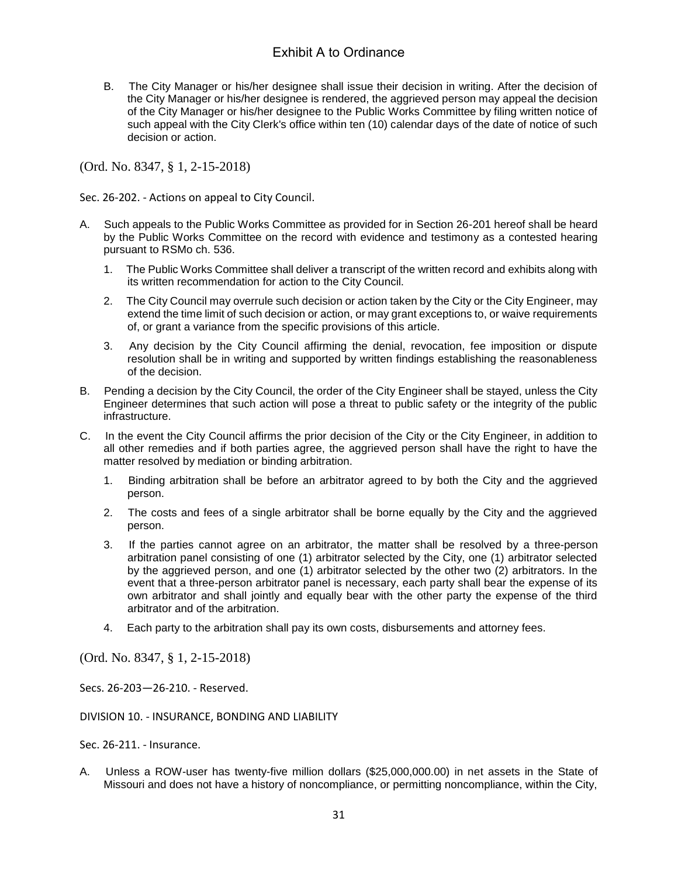B. The City Manager or his/her designee shall issue their decision in writing. After the decision of the City Manager or his/her designee is rendered, the aggrieved person may appeal the decision of the City Manager or his/her designee to the Public Works Committee by filing written notice of such appeal with the City Clerk's office within ten (10) calendar days of the date of notice of such decision or action.

(Ord. No. 8347, § 1, 2-15-2018)

Sec. 26-202. - Actions on appeal to City Council.

- A. Such appeals to the Public Works Committee as provided for in Section 26-201 hereof shall be heard by the Public Works Committee on the record with evidence and testimony as a contested hearing pursuant to RSMo ch. 536.
	- 1. The Public Works Committee shall deliver a transcript of the written record and exhibits along with its written recommendation for action to the City Council.
	- 2. The City Council may overrule such decision or action taken by the City or the City Engineer, may extend the time limit of such decision or action, or may grant exceptions to, or waive requirements of, or grant a variance from the specific provisions of this article.
	- 3. Any decision by the City Council affirming the denial, revocation, fee imposition or dispute resolution shall be in writing and supported by written findings establishing the reasonableness of the decision.
- B. Pending a decision by the City Council, the order of the City Engineer shall be stayed, unless the City Engineer determines that such action will pose a threat to public safety or the integrity of the public infrastructure.
- C. In the event the City Council affirms the prior decision of the City or the City Engineer, in addition to all other remedies and if both parties agree, the aggrieved person shall have the right to have the matter resolved by mediation or binding arbitration.
	- 1. Binding arbitration shall be before an arbitrator agreed to by both the City and the aggrieved person.
	- 2. The costs and fees of a single arbitrator shall be borne equally by the City and the aggrieved person.
	- 3. If the parties cannot agree on an arbitrator, the matter shall be resolved by a three-person arbitration panel consisting of one (1) arbitrator selected by the City, one (1) arbitrator selected by the aggrieved person, and one (1) arbitrator selected by the other two (2) arbitrators. In the event that a three-person arbitrator panel is necessary, each party shall bear the expense of its own arbitrator and shall jointly and equally bear with the other party the expense of the third arbitrator and of the arbitration.
	- 4. Each party to the arbitration shall pay its own costs, disbursements and attorney fees.

(Ord. No. 8347, § 1, 2-15-2018)

Secs. 26-203—26-210. - Reserved.

DIVISION 10. - INSURANCE, BONDING AND LIABILITY

Sec. 26-211. - Insurance.

A. Unless a ROW-user has twenty-five million dollars (\$25,000,000.00) in net assets in the State of Missouri and does not have a history of noncompliance, or permitting noncompliance, within the City,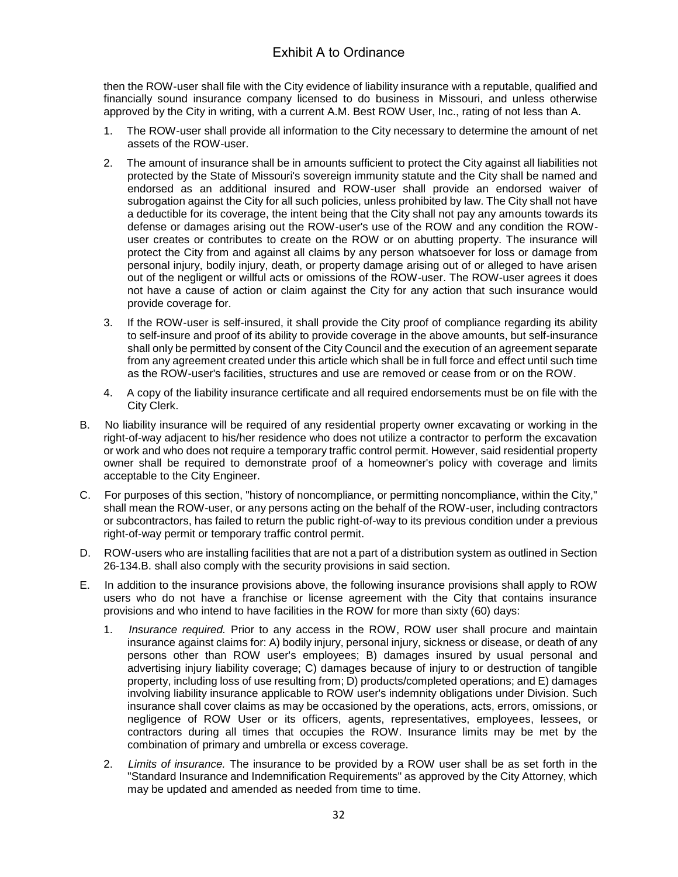then the ROW-user shall file with the City evidence of liability insurance with a reputable, qualified and financially sound insurance company licensed to do business in Missouri, and unless otherwise approved by the City in writing, with a current A.M. Best ROW User, Inc., rating of not less than A.

- 1. The ROW-user shall provide all information to the City necessary to determine the amount of net assets of the ROW-user.
- 2. The amount of insurance shall be in amounts sufficient to protect the City against all liabilities not protected by the State of Missouri's sovereign immunity statute and the City shall be named and endorsed as an additional insured and ROW-user shall provide an endorsed waiver of subrogation against the City for all such policies, unless prohibited by law. The City shall not have a deductible for its coverage, the intent being that the City shall not pay any amounts towards its defense or damages arising out the ROW-user's use of the ROW and any condition the ROWuser creates or contributes to create on the ROW or on abutting property. The insurance will protect the City from and against all claims by any person whatsoever for loss or damage from personal injury, bodily injury, death, or property damage arising out of or alleged to have arisen out of the negligent or willful acts or omissions of the ROW-user. The ROW-user agrees it does not have a cause of action or claim against the City for any action that such insurance would provide coverage for.
- 3. If the ROW-user is self-insured, it shall provide the City proof of compliance regarding its ability to self-insure and proof of its ability to provide coverage in the above amounts, but self-insurance shall only be permitted by consent of the City Council and the execution of an agreement separate from any agreement created under this article which shall be in full force and effect until such time as the ROW-user's facilities, structures and use are removed or cease from or on the ROW.
- 4. A copy of the liability insurance certificate and all required endorsements must be on file with the City Clerk.
- B. No liability insurance will be required of any residential property owner excavating or working in the right-of-way adjacent to his/her residence who does not utilize a contractor to perform the excavation or work and who does not require a temporary traffic control permit. However, said residential property owner shall be required to demonstrate proof of a homeowner's policy with coverage and limits acceptable to the City Engineer.
- C. For purposes of this section, "history of noncompliance, or permitting noncompliance, within the City," shall mean the ROW-user, or any persons acting on the behalf of the ROW-user, including contractors or subcontractors, has failed to return the public right-of-way to its previous condition under a previous right-of-way permit or temporary traffic control permit.
- D. ROW-users who are installing facilities that are not a part of a distribution system as outlined in Section 26-134.B. shall also comply with the security provisions in said section.
- E. In addition to the insurance provisions above, the following insurance provisions shall apply to ROW users who do not have a franchise or license agreement with the City that contains insurance provisions and who intend to have facilities in the ROW for more than sixty (60) days:
	- 1. *Insurance required.* Prior to any access in the ROW, ROW user shall procure and maintain insurance against claims for: A) bodily injury, personal injury, sickness or disease, or death of any persons other than ROW user's employees; B) damages insured by usual personal and advertising injury liability coverage; C) damages because of injury to or destruction of tangible property, including loss of use resulting from; D) products/completed operations; and E) damages involving liability insurance applicable to ROW user's indemnity obligations under Division. Such insurance shall cover claims as may be occasioned by the operations, acts, errors, omissions, or negligence of ROW User or its officers, agents, representatives, employees, lessees, or contractors during all times that occupies the ROW. Insurance limits may be met by the combination of primary and umbrella or excess coverage.
	- 2. *Limits of insurance.* The insurance to be provided by a ROW user shall be as set forth in the "Standard Insurance and Indemnification Requirements" as approved by the City Attorney, which may be updated and amended as needed from time to time.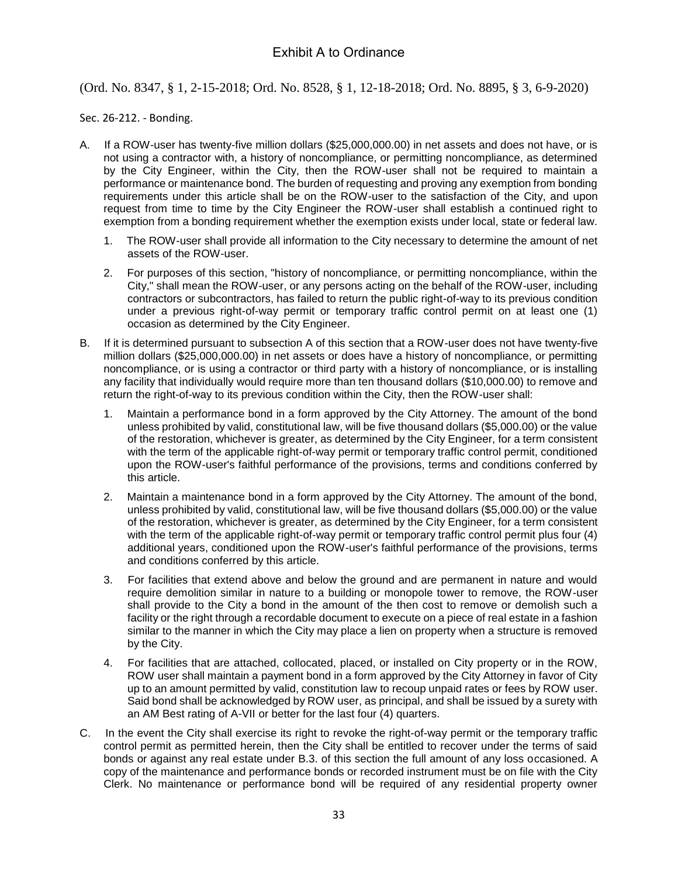### (Ord. No. 8347, § 1, 2-15-2018; Ord. No. 8528, § 1, 12-18-2018; Ord. No. 8895, § 3, 6-9-2020)

#### Sec. 26-212. - Bonding.

- A. If a ROW-user has twenty-five million dollars (\$25,000,000.00) in net assets and does not have, or is not using a contractor with, a history of noncompliance, or permitting noncompliance, as determined by the City Engineer, within the City, then the ROW-user shall not be required to maintain a performance or maintenance bond. The burden of requesting and proving any exemption from bonding requirements under this article shall be on the ROW-user to the satisfaction of the City, and upon request from time to time by the City Engineer the ROW-user shall establish a continued right to exemption from a bonding requirement whether the exemption exists under local, state or federal law.
	- 1. The ROW-user shall provide all information to the City necessary to determine the amount of net assets of the ROW-user.
	- 2. For purposes of this section, "history of noncompliance, or permitting noncompliance, within the City," shall mean the ROW-user, or any persons acting on the behalf of the ROW-user, including contractors or subcontractors, has failed to return the public right-of-way to its previous condition under a previous right-of-way permit or temporary traffic control permit on at least one (1) occasion as determined by the City Engineer.
- B. If it is determined pursuant to subsection A of this section that a ROW-user does not have twenty-five million dollars (\$25,000,000.00) in net assets or does have a history of noncompliance, or permitting noncompliance, or is using a contractor or third party with a history of noncompliance, or is installing any facility that individually would require more than ten thousand dollars (\$10,000.00) to remove and return the right-of-way to its previous condition within the City, then the ROW-user shall:
	- 1. Maintain a performance bond in a form approved by the City Attorney. The amount of the bond unless prohibited by valid, constitutional law, will be five thousand dollars (\$5,000.00) or the value of the restoration, whichever is greater, as determined by the City Engineer, for a term consistent with the term of the applicable right-of-way permit or temporary traffic control permit, conditioned upon the ROW-user's faithful performance of the provisions, terms and conditions conferred by this article.
	- 2. Maintain a maintenance bond in a form approved by the City Attorney. The amount of the bond, unless prohibited by valid, constitutional law, will be five thousand dollars (\$5,000.00) or the value of the restoration, whichever is greater, as determined by the City Engineer, for a term consistent with the term of the applicable right-of-way permit or temporary traffic control permit plus four (4) additional years, conditioned upon the ROW-user's faithful performance of the provisions, terms and conditions conferred by this article.
	- 3. For facilities that extend above and below the ground and are permanent in nature and would require demolition similar in nature to a building or monopole tower to remove, the ROW-user shall provide to the City a bond in the amount of the then cost to remove or demolish such a facility or the right through a recordable document to execute on a piece of real estate in a fashion similar to the manner in which the City may place a lien on property when a structure is removed by the City.
	- 4. For facilities that are attached, collocated, placed, or installed on City property or in the ROW, ROW user shall maintain a payment bond in a form approved by the City Attorney in favor of City up to an amount permitted by valid, constitution law to recoup unpaid rates or fees by ROW user. Said bond shall be acknowledged by ROW user, as principal, and shall be issued by a surety with an AM Best rating of A-VII or better for the last four (4) quarters.
- C. In the event the City shall exercise its right to revoke the right-of-way permit or the temporary traffic control permit as permitted herein, then the City shall be entitled to recover under the terms of said bonds or against any real estate under B.3. of this section the full amount of any loss occasioned. A copy of the maintenance and performance bonds or recorded instrument must be on file with the City Clerk. No maintenance or performance bond will be required of any residential property owner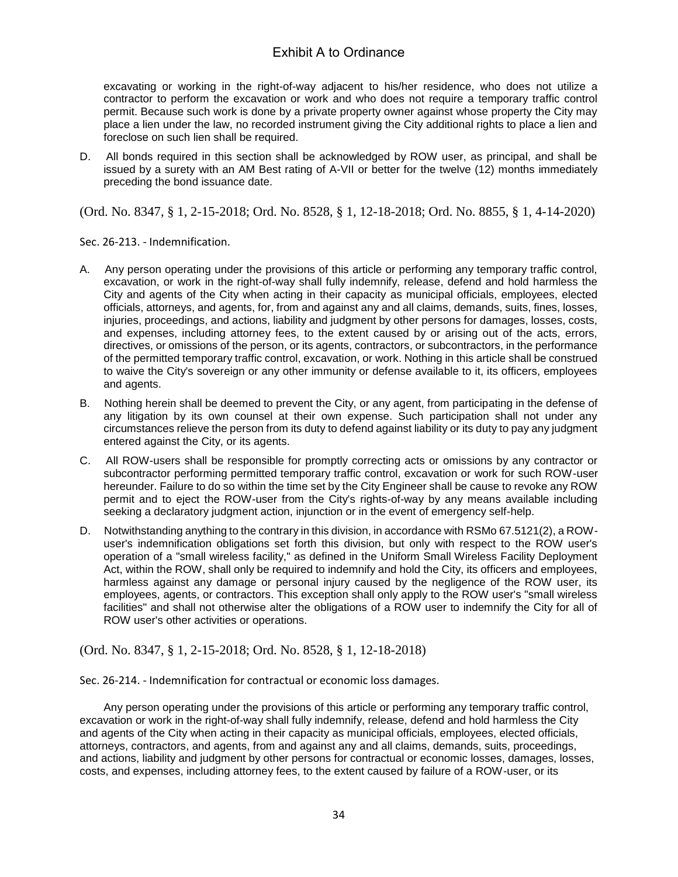excavating or working in the right-of-way adjacent to his/her residence, who does not utilize a contractor to perform the excavation or work and who does not require a temporary traffic control permit. Because such work is done by a private property owner against whose property the City may place a lien under the law, no recorded instrument giving the City additional rights to place a lien and foreclose on such lien shall be required.

D. All bonds required in this section shall be acknowledged by ROW user, as principal, and shall be issued by a surety with an AM Best rating of A-VII or better for the twelve (12) months immediately preceding the bond issuance date.

(Ord. No. 8347, § 1, 2-15-2018; Ord. No. 8528, § 1, 12-18-2018; Ord. No. 8855, § 1, 4-14-2020)

Sec. 26-213. - Indemnification.

- A. Any person operating under the provisions of this article or performing any temporary traffic control, excavation, or work in the right-of-way shall fully indemnify, release, defend and hold harmless the City and agents of the City when acting in their capacity as municipal officials, employees, elected officials, attorneys, and agents, for, from and against any and all claims, demands, suits, fines, losses, injuries, proceedings, and actions, liability and judgment by other persons for damages, losses, costs, and expenses, including attorney fees, to the extent caused by or arising out of the acts, errors, directives, or omissions of the person, or its agents, contractors, or subcontractors, in the performance of the permitted temporary traffic control, excavation, or work. Nothing in this article shall be construed to waive the City's sovereign or any other immunity or defense available to it, its officers, employees and agents.
- B. Nothing herein shall be deemed to prevent the City, or any agent, from participating in the defense of any litigation by its own counsel at their own expense. Such participation shall not under any circumstances relieve the person from its duty to defend against liability or its duty to pay any judgment entered against the City, or its agents.
- C. All ROW-users shall be responsible for promptly correcting acts or omissions by any contractor or subcontractor performing permitted temporary traffic control, excavation or work for such ROW-user hereunder. Failure to do so within the time set by the City Engineer shall be cause to revoke any ROW permit and to eject the ROW-user from the City's rights-of-way by any means available including seeking a declaratory judgment action, injunction or in the event of emergency self-help.
- D. Notwithstanding anything to the contrary in this division, in accordance with RSMo 67.5121(2), a ROWuser's indemnification obligations set forth this division, but only with respect to the ROW user's operation of a "small wireless facility," as defined in the Uniform Small Wireless Facility Deployment Act, within the ROW, shall only be required to indemnify and hold the City, its officers and employees, harmless against any damage or personal injury caused by the negligence of the ROW user, its employees, agents, or contractors. This exception shall only apply to the ROW user's "small wireless facilities" and shall not otherwise alter the obligations of a ROW user to indemnify the City for all of ROW user's other activities or operations.

(Ord. No. 8347, § 1, 2-15-2018; Ord. No. 8528, § 1, 12-18-2018)

Sec. 26-214. - Indemnification for contractual or economic loss damages.

Any person operating under the provisions of this article or performing any temporary traffic control, excavation or work in the right-of-way shall fully indemnify, release, defend and hold harmless the City and agents of the City when acting in their capacity as municipal officials, employees, elected officials, attorneys, contractors, and agents, from and against any and all claims, demands, suits, proceedings, and actions, liability and judgment by other persons for contractual or economic losses, damages, losses, costs, and expenses, including attorney fees, to the extent caused by failure of a ROW-user, or its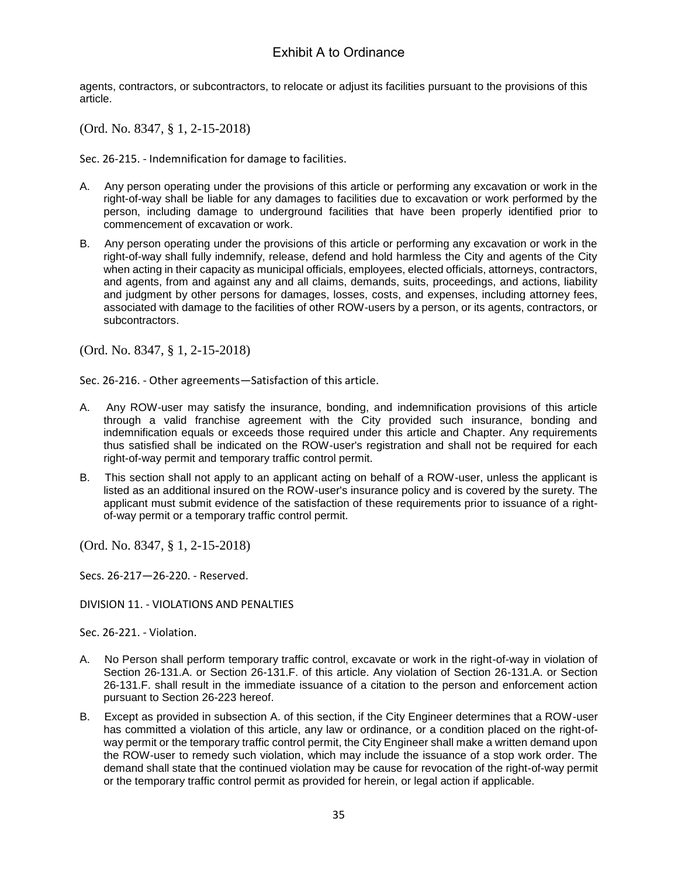agents, contractors, or subcontractors, to relocate or adjust its facilities pursuant to the provisions of this article.

(Ord. No. 8347, § 1, 2-15-2018)

Sec. 26-215. - Indemnification for damage to facilities.

- A. Any person operating under the provisions of this article or performing any excavation or work in the right-of-way shall be liable for any damages to facilities due to excavation or work performed by the person, including damage to underground facilities that have been properly identified prior to commencement of excavation or work.
- B. Any person operating under the provisions of this article or performing any excavation or work in the right-of-way shall fully indemnify, release, defend and hold harmless the City and agents of the City when acting in their capacity as municipal officials, employees, elected officials, attorneys, contractors, and agents, from and against any and all claims, demands, suits, proceedings, and actions, liability and judgment by other persons for damages, losses, costs, and expenses, including attorney fees, associated with damage to the facilities of other ROW-users by a person, or its agents, contractors, or subcontractors.

(Ord. No. 8347, § 1, 2-15-2018)

Sec. 26-216. - Other agreements—Satisfaction of this article.

- A. Any ROW-user may satisfy the insurance, bonding, and indemnification provisions of this article through a valid franchise agreement with the City provided such insurance, bonding and indemnification equals or exceeds those required under this article and Chapter. Any requirements thus satisfied shall be indicated on the ROW-user's registration and shall not be required for each right-of-way permit and temporary traffic control permit.
- B. This section shall not apply to an applicant acting on behalf of a ROW-user, unless the applicant is listed as an additional insured on the ROW-user's insurance policy and is covered by the surety. The applicant must submit evidence of the satisfaction of these requirements prior to issuance of a rightof-way permit or a temporary traffic control permit.

(Ord. No. 8347, § 1, 2-15-2018)

Secs. 26-217—26-220. - Reserved.

DIVISION 11. - VIOLATIONS AND PENALTIES

Sec. 26-221. - Violation.

- A. No Person shall perform temporary traffic control, excavate or work in the right-of-way in violation of Section 26-131.A. or Section 26-131.F. of this article. Any violation of Section 26-131.A. or Section 26-131.F. shall result in the immediate issuance of a citation to the person and enforcement action pursuant to Section 26-223 hereof.
- B. Except as provided in subsection A. of this section, if the City Engineer determines that a ROW-user has committed a violation of this article, any law or ordinance, or a condition placed on the right-ofway permit or the temporary traffic control permit, the City Engineer shall make a written demand upon the ROW-user to remedy such violation, which may include the issuance of a stop work order. The demand shall state that the continued violation may be cause for revocation of the right-of-way permit or the temporary traffic control permit as provided for herein, or legal action if applicable.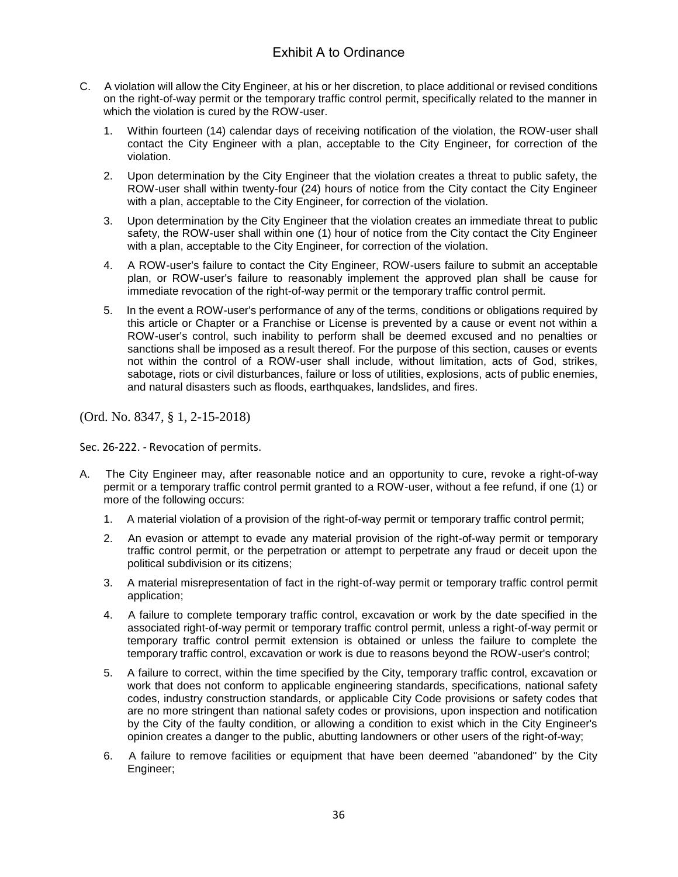- C. A violation will allow the City Engineer, at his or her discretion, to place additional or revised conditions on the right-of-way permit or the temporary traffic control permit, specifically related to the manner in which the violation is cured by the ROW-user.
	- 1. Within fourteen (14) calendar days of receiving notification of the violation, the ROW-user shall contact the City Engineer with a plan, acceptable to the City Engineer, for correction of the violation.
	- 2. Upon determination by the City Engineer that the violation creates a threat to public safety, the ROW-user shall within twenty-four (24) hours of notice from the City contact the City Engineer with a plan, acceptable to the City Engineer, for correction of the violation.
	- 3. Upon determination by the City Engineer that the violation creates an immediate threat to public safety, the ROW-user shall within one (1) hour of notice from the City contact the City Engineer with a plan, acceptable to the City Engineer, for correction of the violation.
	- 4. A ROW-user's failure to contact the City Engineer, ROW-users failure to submit an acceptable plan, or ROW-user's failure to reasonably implement the approved plan shall be cause for immediate revocation of the right-of-way permit or the temporary traffic control permit.
	- 5. In the event a ROW-user's performance of any of the terms, conditions or obligations required by this article or Chapter or a Franchise or License is prevented by a cause or event not within a ROW-user's control, such inability to perform shall be deemed excused and no penalties or sanctions shall be imposed as a result thereof. For the purpose of this section, causes or events not within the control of a ROW-user shall include, without limitation, acts of God, strikes, sabotage, riots or civil disturbances, failure or loss of utilities, explosions, acts of public enemies, and natural disasters such as floods, earthquakes, landslides, and fires.

(Ord. No. 8347, § 1, 2-15-2018)

Sec. 26-222. - Revocation of permits.

- A. The City Engineer may, after reasonable notice and an opportunity to cure, revoke a right-of-way permit or a temporary traffic control permit granted to a ROW-user, without a fee refund, if one (1) or more of the following occurs:
	- 1. A material violation of a provision of the right-of-way permit or temporary traffic control permit;
	- 2. An evasion or attempt to evade any material provision of the right-of-way permit or temporary traffic control permit, or the perpetration or attempt to perpetrate any fraud or deceit upon the political subdivision or its citizens;
	- 3. A material misrepresentation of fact in the right-of-way permit or temporary traffic control permit application;
	- 4. A failure to complete temporary traffic control, excavation or work by the date specified in the associated right-of-way permit or temporary traffic control permit, unless a right-of-way permit or temporary traffic control permit extension is obtained or unless the failure to complete the temporary traffic control, excavation or work is due to reasons beyond the ROW-user's control;
	- 5. A failure to correct, within the time specified by the City, temporary traffic control, excavation or work that does not conform to applicable engineering standards, specifications, national safety codes, industry construction standards, or applicable City Code provisions or safety codes that are no more stringent than national safety codes or provisions, upon inspection and notification by the City of the faulty condition, or allowing a condition to exist which in the City Engineer's opinion creates a danger to the public, abutting landowners or other users of the right-of-way;
	- 6. A failure to remove facilities or equipment that have been deemed "abandoned" by the City Engineer;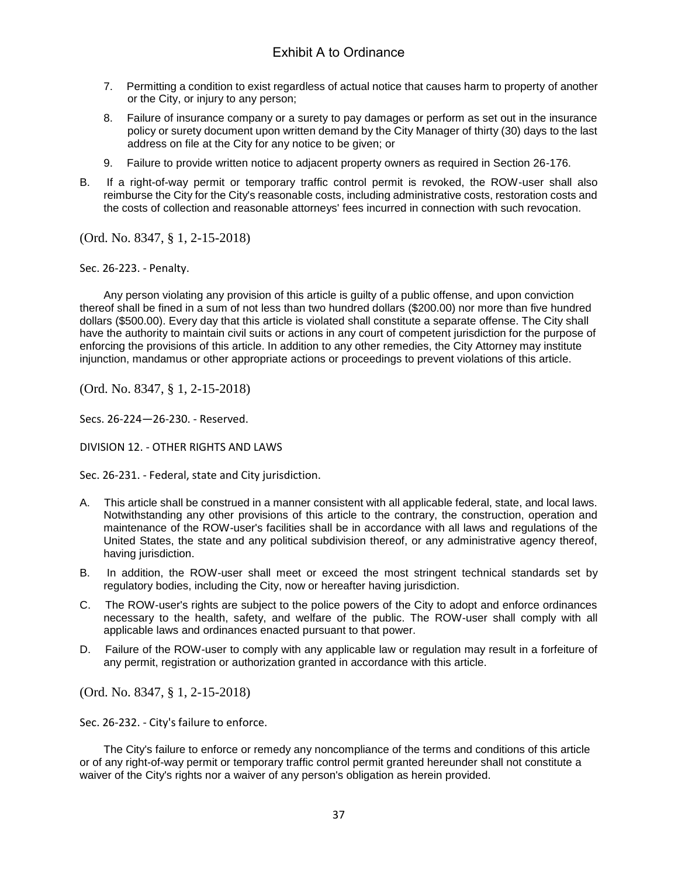- 7. Permitting a condition to exist regardless of actual notice that causes harm to property of another or the City, or injury to any person;
- 8. Failure of insurance company or a surety to pay damages or perform as set out in the insurance policy or surety document upon written demand by the City Manager of thirty (30) days to the last address on file at the City for any notice to be given; or
- 9. Failure to provide written notice to adjacent property owners as required in Section 26-176.
- B. If a right-of-way permit or temporary traffic control permit is revoked, the ROW-user shall also reimburse the City for the City's reasonable costs, including administrative costs, restoration costs and the costs of collection and reasonable attorneys' fees incurred in connection with such revocation.

(Ord. No. 8347, § 1, 2-15-2018)

Sec. 26-223. - Penalty.

Any person violating any provision of this article is guilty of a public offense, and upon conviction thereof shall be fined in a sum of not less than two hundred dollars (\$200.00) nor more than five hundred dollars (\$500.00). Every day that this article is violated shall constitute a separate offense. The City shall have the authority to maintain civil suits or actions in any court of competent jurisdiction for the purpose of enforcing the provisions of this article. In addition to any other remedies, the City Attorney may institute injunction, mandamus or other appropriate actions or proceedings to prevent violations of this article.

(Ord. No. 8347, § 1, 2-15-2018)

Secs. 26-224—26-230. - Reserved.

DIVISION 12. - OTHER RIGHTS AND LAWS

Sec. 26-231. - Federal, state and City jurisdiction.

- A. This article shall be construed in a manner consistent with all applicable federal, state, and local laws. Notwithstanding any other provisions of this article to the contrary, the construction, operation and maintenance of the ROW-user's facilities shall be in accordance with all laws and regulations of the United States, the state and any political subdivision thereof, or any administrative agency thereof, having jurisdiction.
- B. In addition, the ROW-user shall meet or exceed the most stringent technical standards set by regulatory bodies, including the City, now or hereafter having jurisdiction.
- C. The ROW-user's rights are subject to the police powers of the City to adopt and enforce ordinances necessary to the health, safety, and welfare of the public. The ROW-user shall comply with all applicable laws and ordinances enacted pursuant to that power.
- D. Failure of the ROW-user to comply with any applicable law or regulation may result in a forfeiture of any permit, registration or authorization granted in accordance with this article.

(Ord. No. 8347, § 1, 2-15-2018)

Sec. 26-232. - City's failure to enforce.

The City's failure to enforce or remedy any noncompliance of the terms and conditions of this article or of any right-of-way permit or temporary traffic control permit granted hereunder shall not constitute a waiver of the City's rights nor a waiver of any person's obligation as herein provided.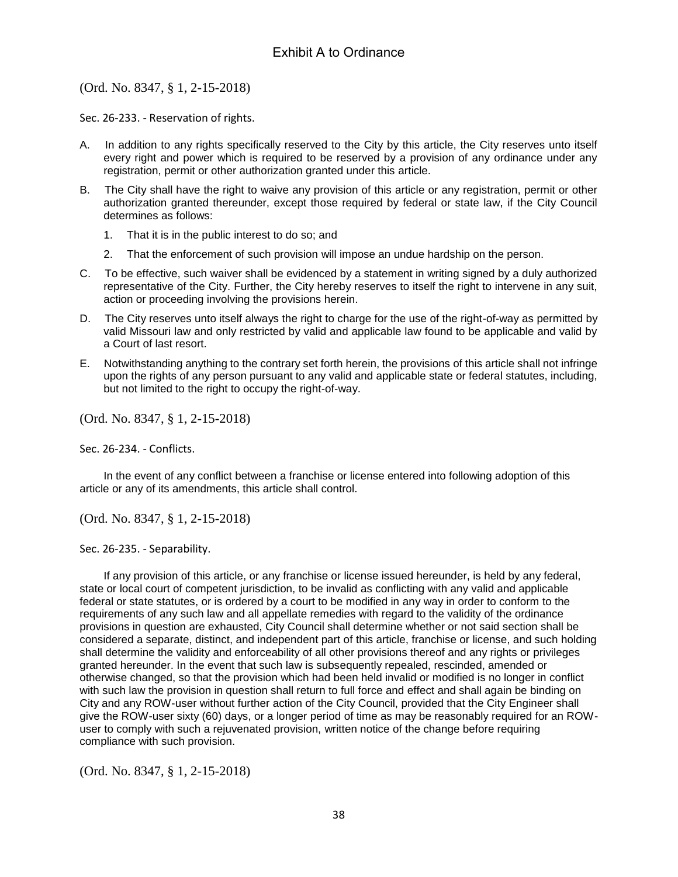(Ord. No. 8347, § 1, 2-15-2018)

Sec. 26-233. - Reservation of rights.

- A. In addition to any rights specifically reserved to the City by this article, the City reserves unto itself every right and power which is required to be reserved by a provision of any ordinance under any registration, permit or other authorization granted under this article.
- B. The City shall have the right to waive any provision of this article or any registration, permit or other authorization granted thereunder, except those required by federal or state law, if the City Council determines as follows:
	- 1. That it is in the public interest to do so; and
	- 2. That the enforcement of such provision will impose an undue hardship on the person.
- C. To be effective, such waiver shall be evidenced by a statement in writing signed by a duly authorized representative of the City. Further, the City hereby reserves to itself the right to intervene in any suit, action or proceeding involving the provisions herein.
- D. The City reserves unto itself always the right to charge for the use of the right-of-way as permitted by valid Missouri law and only restricted by valid and applicable law found to be applicable and valid by a Court of last resort.
- E. Notwithstanding anything to the contrary set forth herein, the provisions of this article shall not infringe upon the rights of any person pursuant to any valid and applicable state or federal statutes, including, but not limited to the right to occupy the right-of-way.

(Ord. No. 8347, § 1, 2-15-2018)

Sec. 26-234. - Conflicts.

In the event of any conflict between a franchise or license entered into following adoption of this article or any of its amendments, this article shall control.

(Ord. No. 8347, § 1, 2-15-2018)

Sec. 26-235. - Separability.

If any provision of this article, or any franchise or license issued hereunder, is held by any federal, state or local court of competent jurisdiction, to be invalid as conflicting with any valid and applicable federal or state statutes, or is ordered by a court to be modified in any way in order to conform to the requirements of any such law and all appellate remedies with regard to the validity of the ordinance provisions in question are exhausted, City Council shall determine whether or not said section shall be considered a separate, distinct, and independent part of this article, franchise or license, and such holding shall determine the validity and enforceability of all other provisions thereof and any rights or privileges granted hereunder. In the event that such law is subsequently repealed, rescinded, amended or otherwise changed, so that the provision which had been held invalid or modified is no longer in conflict with such law the provision in question shall return to full force and effect and shall again be binding on City and any ROW-user without further action of the City Council, provided that the City Engineer shall give the ROW-user sixty (60) days, or a longer period of time as may be reasonably required for an ROWuser to comply with such a rejuvenated provision, written notice of the change before requiring compliance with such provision.

(Ord. No. 8347, § 1, 2-15-2018)